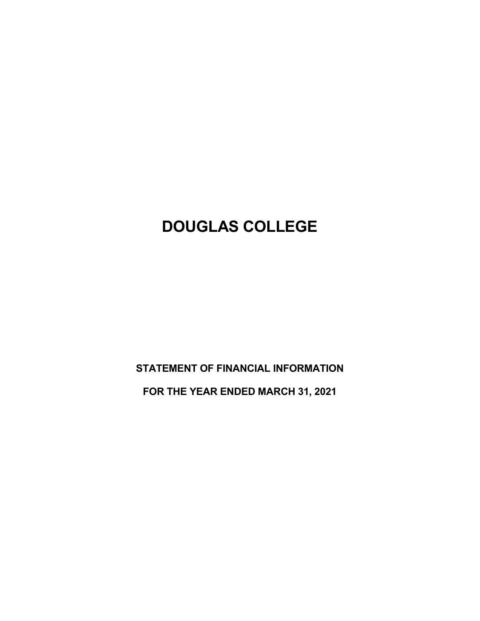# **DOUGLAS COLLEGE**

**STATEMENT OF FINANCIAL INFORMATION**

**FOR THE YEAR ENDED MARCH 31, 2021**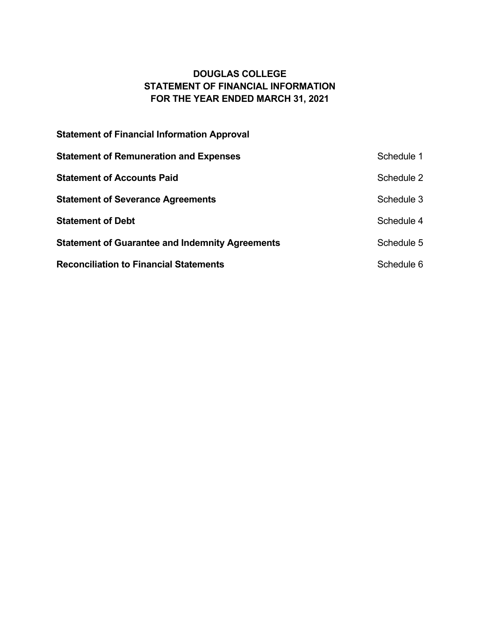# **DOUGLAS COLLEGE STATEMENT OF FINANCIAL INFORMATION FOR THE YEAR ENDED MARCH 31, 2021**

| <b>Statement of Financial Information Approval</b>     |            |
|--------------------------------------------------------|------------|
| <b>Statement of Remuneration and Expenses</b>          | Schedule 1 |
| <b>Statement of Accounts Paid</b>                      | Schedule 2 |
| <b>Statement of Severance Agreements</b>               | Schedule 3 |
| <b>Statement of Debt</b>                               | Schedule 4 |
| <b>Statement of Guarantee and Indemnity Agreements</b> | Schedule 5 |
| <b>Reconciliation to Financial Statements</b>          | Schedule 6 |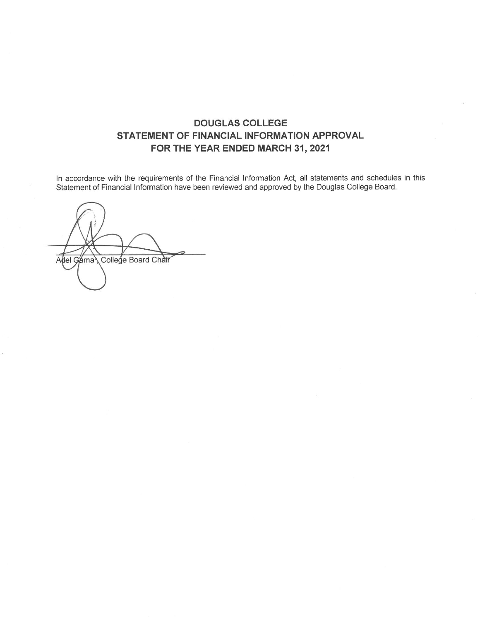### **DOUGLAS COLLEGE** STATEMENT OF FINANCIAL INFORMATION APPROVAL FOR THE YEAR ENDED MARCH 31, 2021

In accordance with the requirements of the Financial Information Act, all statements and schedules in this Statement of Financial Information have been reviewed and approved by the Douglas College Board.

Adel Gaman College Board Chair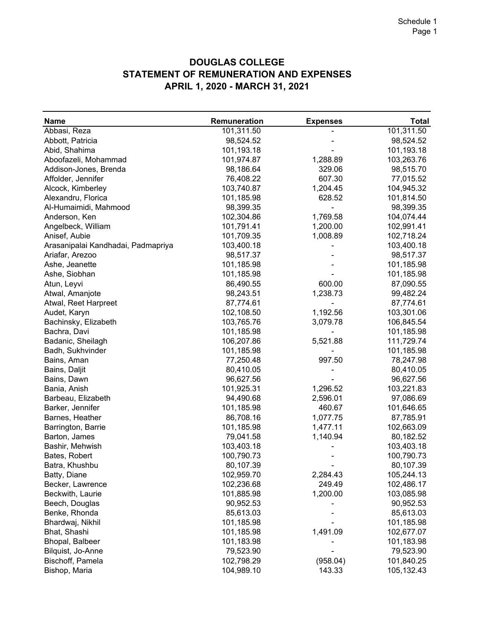# **DOUGLAS COLLEGE STATEMENT OF REMUNERATION AND EXPENSES APRIL 1, 2020 - MARCH 31, 2021**

| <b>Name</b>                        | Remuneration | <b>Expenses</b> | <b>Total</b> |
|------------------------------------|--------------|-----------------|--------------|
| Abbasi, Reza                       | 101,311.50   |                 | 101,311.50   |
| Abbott, Patricia                   | 98,524.52    |                 | 98,524.52    |
| Abid, Shahima                      | 101,193.18   |                 | 101,193.18   |
| Aboofazeli, Mohammad               | 101,974.87   | 1,288.89        | 103,263.76   |
| Addison-Jones, Brenda              | 98,186.64    | 329.06          | 98,515.70    |
| Affolder, Jennifer                 | 76,408.22    | 607.30          | 77,015.52    |
| Alcock, Kimberley                  | 103,740.87   | 1,204.45        | 104,945.32   |
| Alexandru, Florica                 | 101,185.98   | 628.52          | 101,814.50   |
| Al-Humaimidi, Mahmood              | 98,399.35    |                 | 98,399.35    |
| Anderson, Ken                      | 102,304.86   | 1,769.58        | 104,074.44   |
| Angelbeck, William                 | 101,791.41   | 1,200.00        | 102,991.41   |
| Anisef, Aubie                      | 101,709.35   | 1,008.89        | 102,718.24   |
| Arasanipalai Kandhadai, Padmapriya | 103,400.18   |                 | 103,400.18   |
| Ariafar, Arezoo                    | 98,517.37    |                 | 98,517.37    |
|                                    | 101,185.98   |                 | 101,185.98   |
| Ashe, Jeanette                     |              |                 |              |
| Ashe, Siobhan                      | 101,185.98   |                 | 101,185.98   |
| Atun, Leyvi                        | 86,490.55    | 600.00          | 87,090.55    |
| Atwal, Amanjote                    | 98,243.51    | 1,238.73        | 99,482.24    |
| Atwal, Reet Harpreet               | 87,774.61    |                 | 87,774.61    |
| Audet, Karyn                       | 102,108.50   | 1,192.56        | 103,301.06   |
| Bachinsky, Elizabeth               | 103,765.76   | 3,079.78        | 106,845.54   |
| Bachra, Davi                       | 101,185.98   |                 | 101,185.98   |
| Badanic, Sheilagh                  | 106,207.86   | 5,521.88        | 111,729.74   |
| Badh, Sukhvinder                   | 101,185.98   |                 | 101,185.98   |
| Bains, Aman                        | 77,250.48    | 997.50          | 78,247.98    |
| Bains, Daljit                      | 80,410.05    |                 | 80,410.05    |
| Bains, Dawn                        | 96,627.56    |                 | 96,627.56    |
| Bania, Anish                       | 101,925.31   | 1,296.52        | 103,221.83   |
| Barbeau, Elizabeth                 | 94,490.68    | 2,596.01        | 97,086.69    |
| Barker, Jennifer                   | 101,185.98   | 460.67          | 101,646.65   |
| Barnes, Heather                    | 86,708.16    | 1,077.75        | 87,785.91    |
| Barrington, Barrie                 | 101,185.98   | 1,477.11        | 102,663.09   |
| Barton, James                      | 79,041.58    | 1,140.94        | 80,182.52    |
| Bashir, Mehwish                    | 103,403.18   |                 | 103,403.18   |
| Bates, Robert                      | 100,790.73   |                 | 100,790.73   |
| Batra, Khushbu                     | 80,107.39    |                 | 80,107.39    |
| Batty, Diane                       | 102,959.70   | 2,284.43        | 105,244.13   |
| Becker, Lawrence                   | 102,236.68   | 249.49          | 102,486.17   |
| Beckwith, Laurie                   | 101,885.98   | 1,200.00        | 103,085.98   |
| Beech, Douglas                     | 90,952.53    |                 | 90,952.53    |
| Benke, Rhonda                      | 85,613.03    |                 | 85,613.03    |
| Bhardwaj, Nikhil                   | 101,185.98   |                 | 101,185.98   |
| Bhat, Shashi                       | 101,185.98   | 1,491.09        | 102,677.07   |
| Bhopal, Balbeer                    | 101,183.98   |                 | 101,183.98   |
| Bilquist, Jo-Anne                  | 79,523.90    |                 | 79,523.90    |
| Bischoff, Pamela                   | 102,798.29   | (958.04)        | 101,840.25   |
|                                    |              |                 |              |
| Bishop, Maria                      | 104,989.10   | 143.33          | 105,132.43   |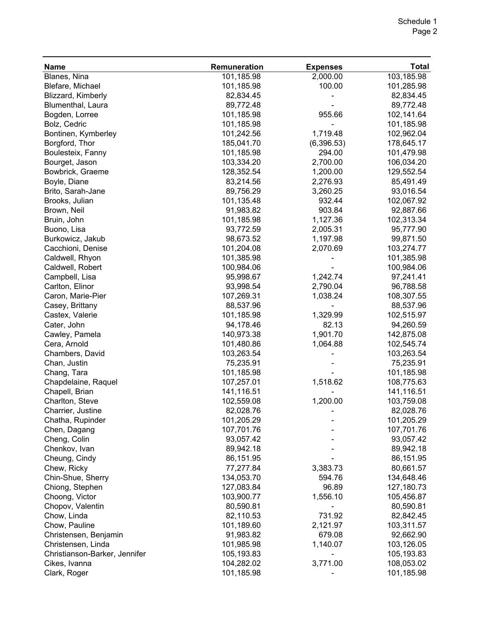| <b>Name</b>                   | Remuneration | <b>Expenses</b> | <b>Total</b> |
|-------------------------------|--------------|-----------------|--------------|
| Blanes, Nina                  | 101,185.98   | 2,000.00        | 103,185.98   |
| Blefare, Michael              | 101,185.98   | 100.00          | 101,285.98   |
| Blizzard, Kimberly            | 82,834.45    |                 | 82,834.45    |
| Blumenthal, Laura             | 89,772.48    |                 | 89,772.48    |
| Bogden, Lorree                | 101,185.98   | 955.66          | 102,141.64   |
| Bolz, Cedric                  | 101,185.98   |                 | 101,185.98   |
| Bontinen, Kymberley           | 101,242.56   | 1,719.48        | 102,962.04   |
| Borgford, Thor                | 185,041.70   | (6,396.53)      | 178,645.17   |
| Boulesteix, Fanny             | 101,185.98   | 294.00          | 101,479.98   |
| Bourget, Jason                | 103,334.20   | 2,700.00        | 106,034.20   |
| Bowbrick, Graeme              | 128,352.54   | 1,200.00        | 129,552.54   |
| Boyle, Diane                  | 83,214.56    | 2,276.93        | 85,491.49    |
| Brito, Sarah-Jane             | 89,756.29    | 3,260.25        | 93,016.54    |
| Brooks, Julian                | 101,135.48   | 932.44          | 102,067.92   |
| Brown, Neil                   | 91,983.82    | 903.84          | 92,887.66    |
| Bruin, John                   | 101,185.98   | 1,127.36        | 102,313.34   |
| Buono, Lisa                   | 93,772.59    | 2,005.31        | 95,777.90    |
| Burkowicz, Jakub              | 98,673.52    | 1,197.98        | 99,871.50    |
| Cacchioni, Denise             | 101,204.08   | 2,070.69        | 103,274.77   |
| Caldwell, Rhyon               | 101,385.98   |                 | 101,385.98   |
| Caldwell, Robert              | 100,984.06   |                 | 100,984.06   |
| Campbell, Lisa                | 95,998.67    | 1,242.74        | 97,241.41    |
| Carlton, Elinor               | 93,998.54    | 2,790.04        | 96,788.58    |
| Caron, Marie-Pier             | 107,269.31   | 1,038.24        | 108,307.55   |
| Casey, Brittany               | 88,537.96    |                 | 88,537.96    |
| Castex, Valerie               | 101,185.98   | 1,329.99        | 102,515.97   |
| Cater, John                   | 94,178.46    | 82.13           | 94,260.59    |
| Cawley, Pamela                | 140,973.38   | 1,901.70        | 142,875.08   |
| Cera, Arnold                  | 101,480.86   | 1,064.88        | 102,545.74   |
| Chambers, David               | 103,263.54   |                 | 103,263.54   |
| Chan, Justin                  | 75,235.91    |                 | 75,235.91    |
| Chang, Tara                   | 101,185.98   |                 | 101,185.98   |
| Chapdelaine, Raquel           | 107,257.01   | 1,518.62        | 108,775.63   |
| Chapell, Brian                | 141,116.51   |                 | 141,116.51   |
| Charlton, Steve               | 102,559.08   | 1,200.00        | 103,759.08   |
| Charrier, Justine             | 82,028.76    |                 | 82,028.76    |
| Chatha, Rupinder              | 101,205.29   |                 | 101,205.29   |
| Chen, Dagang                  | 107,701.76   |                 | 107,701.76   |
| Cheng, Colin                  | 93,057.42    |                 | 93,057.42    |
| Chenkov, Ivan                 | 89,942.18    |                 | 89,942.18    |
| Cheung, Cindy                 | 86,151.95    |                 | 86,151.95    |
| Chew, Ricky                   | 77,277.84    | 3,383.73        | 80,661.57    |
| Chin-Shue, Sherry             | 134,053.70   | 594.76          | 134,648.46   |
| Chiong, Stephen               | 127,083.84   | 96.89           | 127,180.73   |
| Choong, Victor                | 103,900.77   | 1,556.10        | 105,456.87   |
| Chopov, Valentin              | 80,590.81    |                 | 80,590.81    |
| Chow, Linda                   | 82,110.53    | 731.92          | 82,842.45    |
| Chow, Pauline                 | 101,189.60   | 2,121.97        | 103,311.57   |
| Christensen, Benjamin         | 91,983.82    | 679.08          | 92,662.90    |
| Christensen, Linda            | 101,985.98   | 1,140.07        | 103,126.05   |
| Christianson-Barker, Jennifer | 105,193.83   |                 | 105,193.83   |
| Cikes, Ivanna                 | 104,282.02   | 3,771.00        | 108,053.02   |
| Clark, Roger                  | 101,185.98   |                 | 101,185.98   |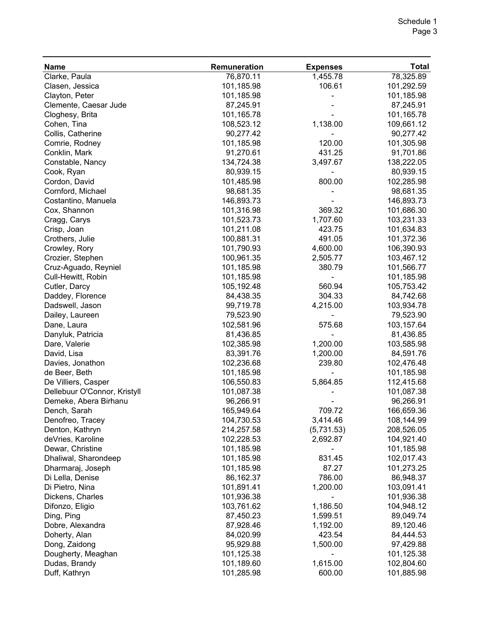| <b>Name</b>                  | Remuneration | <b>Expenses</b> | <b>Total</b> |
|------------------------------|--------------|-----------------|--------------|
| Clarke, Paula                | 76,870.11    | 1,455.78        | 78,325.89    |
| Clasen, Jessica              | 101,185.98   | 106.61          | 101,292.59   |
| Clayton, Peter               | 101,185.98   |                 | 101,185.98   |
| Clemente, Caesar Jude        | 87,245.91    |                 | 87,245.91    |
| Cloghesy, Brita              | 101,165.78   |                 | 101,165.78   |
| Cohen, Tina                  | 108,523.12   | 1,138.00        | 109,661.12   |
| Collis, Catherine            | 90,277.42    |                 | 90,277.42    |
| Comrie, Rodney               | 101,185.98   | 120.00          | 101,305.98   |
| Conklin, Mark                | 91,270.61    | 431.25          | 91,701.86    |
| Constable, Nancy             | 134,724.38   | 3,497.67        | 138,222.05   |
| Cook, Ryan                   | 80,939.15    |                 | 80,939.15    |
| Cordon, David                | 101,485.98   | 800.00          | 102,285.98   |
| Cornford, Michael            | 98,681.35    |                 | 98,681.35    |
| Costantino, Manuela          | 146,893.73   |                 | 146,893.73   |
| Cox, Shannon                 | 101,316.98   | 369.32          | 101,686.30   |
| Cragg, Carys                 | 101,523.73   | 1,707.60        | 103,231.33   |
| Crisp, Joan                  | 101,211.08   | 423.75          | 101,634.83   |
| Crothers, Julie              | 100,881.31   | 491.05          | 101,372.36   |
| Crowley, Rory                | 101,790.93   | 4,600.00        | 106,390.93   |
| Crozier, Stephen             | 100,961.35   | 2,505.77        | 103,467.12   |
| Cruz-Aguado, Reyniel         | 101,185.98   | 380.79          | 101,566.77   |
| Cull-Hewitt, Robin           | 101,185.98   |                 | 101,185.98   |
| Cutler, Darcy                | 105,192.48   | 560.94          | 105,753.42   |
| Daddey, Florence             | 84,438.35    | 304.33          | 84,742.68    |
| Dadswell, Jason              | 99,719.78    | 4,215.00        | 103,934.78   |
| Dailey, Laureen              | 79,523.90    |                 | 79,523.90    |
| Dane, Laura                  | 102,581.96   | 575.68          | 103,157.64   |
| Danyluk, Patricia            | 81,436.85    |                 | 81,436.85    |
| Dare, Valerie                | 102,385.98   | 1,200.00        | 103,585.98   |
| David, Lisa                  | 83,391.76    | 1,200.00        | 84,591.76    |
| Davies, Jonathon             | 102,236.68   | 239.80          | 102,476.48   |
| de Beer, Beth                | 101,185.98   |                 | 101,185.98   |
| De Villiers, Casper          | 106,550.83   | 5,864.85        | 112,415.68   |
| Dellebuur O'Connor, Kristyll | 101,087.38   |                 | 101,087.38   |
| Demeke, Abera Birhanu        | 96,266.91    |                 | 96,266.91    |
| Dench, Sarah                 | 165,949.64   | 709.72          | 166,659.36   |
| Denofreo, Tracey             | 104,730.53   | 3,414.46        | 108,144.99   |
| Denton, Kathryn              | 214,257.58   | (5,731.53)      | 208,526.05   |
| deVries, Karoline            | 102,228.53   | 2,692.87        | 104,921.40   |
| Dewar, Christine             | 101,185.98   |                 | 101,185.98   |
| Dhaliwal, Sharondeep         | 101,185.98   | 831.45          | 102,017.43   |
| Dharmaraj, Joseph            | 101,185.98   | 87.27           | 101,273.25   |
| Di Lella, Denise             | 86,162.37    | 786.00          | 86,948.37    |
| Di Pietro, Nina              | 101,891.41   | 1,200.00        | 103,091.41   |
| Dickens, Charles             | 101,936.38   |                 | 101,936.38   |
| Difonzo, Eligio              | 103,761.62   | 1,186.50        | 104,948.12   |
| Ding, Ping                   | 87,450.23    | 1,599.51        | 89,049.74    |
| Dobre, Alexandra             | 87,928.46    | 1,192.00        | 89,120.46    |
| Doherty, Alan                | 84,020.99    | 423.54          | 84,444.53    |
| Dong, Zaidong                | 95,929.88    | 1,500.00        | 97,429.88    |
| Dougherty, Meaghan           | 101,125.38   |                 | 101,125.38   |
| Dudas, Brandy                | 101,189.60   | 1,615.00        | 102,804.60   |
| Duff, Kathryn                | 101,285.98   | 600.00          | 101,885.98   |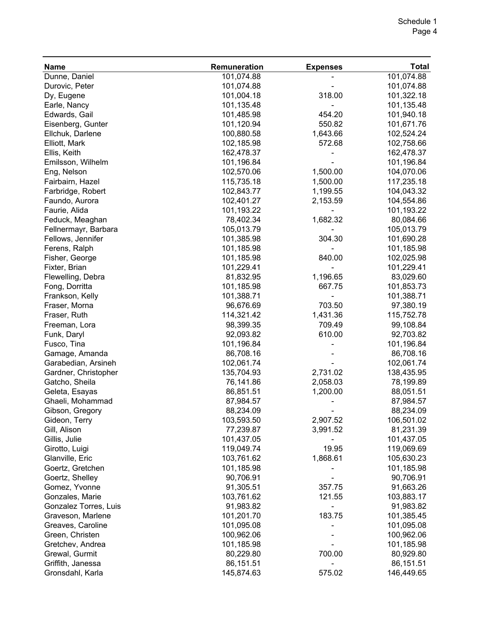| <b>Name</b>           | Remuneration | <b>Expenses</b> | <b>Total</b> |
|-----------------------|--------------|-----------------|--------------|
| Dunne, Daniel         | 101,074.88   |                 | 101,074.88   |
| Durovic, Peter        | 101,074.88   |                 | 101,074.88   |
| Dy, Eugene            | 101,004.18   | 318.00          | 101,322.18   |
| Earle, Nancy          | 101,135.48   |                 | 101,135.48   |
| Edwards, Gail         | 101,485.98   | 454.20          | 101,940.18   |
| Eisenberg, Gunter     | 101,120.94   | 550.82          | 101,671.76   |
| Ellchuk, Darlene      | 100,880.58   | 1,643.66        | 102,524.24   |
| Elliott, Mark         | 102,185.98   | 572.68          | 102,758.66   |
| Ellis, Keith          | 162,478.37   |                 | 162,478.37   |
| Emilsson, Wilhelm     | 101,196.84   |                 | 101,196.84   |
| Eng, Nelson           | 102,570.06   | 1,500.00        | 104,070.06   |
| Fairbairn, Hazel      | 115,735.18   | 1,500.00        | 117,235.18   |
| Farbridge, Robert     | 102,843.77   | 1,199.55        | 104,043.32   |
| Faundo, Aurora        | 102,401.27   | 2,153.59        | 104,554.86   |
| Faurie, Alida         | 101,193.22   |                 | 101,193.22   |
| Feduck, Meaghan       | 78,402.34    | 1,682.32        | 80,084.66    |
| Fellnermayr, Barbara  | 105,013.79   |                 | 105,013.79   |
| Fellows, Jennifer     | 101,385.98   | 304.30          | 101,690.28   |
| Ferens, Ralph         | 101,185.98   |                 | 101,185.98   |
| Fisher, George        | 101,185.98   | 840.00          | 102,025.98   |
| Fixter, Brian         | 101,229.41   |                 | 101,229.41   |
| Flewelling, Debra     | 81,832.95    | 1,196.65        | 83,029.60    |
| Fong, Dorritta        | 101,185.98   | 667.75          | 101,853.73   |
| Frankson, Kelly       | 101,388.71   |                 | 101,388.71   |
| Fraser, Morna         | 96,676.69    | 703.50          | 97,380.19    |
| Fraser, Ruth          | 114,321.42   | 1,431.36        | 115,752.78   |
| Freeman, Lora         | 98,399.35    | 709.49          | 99,108.84    |
| Funk, Daryl           | 92,093.82    | 610.00          | 92,703.82    |
| Fusco, Tina           | 101,196.84   |                 | 101,196.84   |
| Gamage, Amanda        | 86,708.16    |                 | 86,708.16    |
| Garabedian, Arsineh   | 102,061.74   |                 | 102,061.74   |
| Gardner, Christopher  | 135,704.93   | 2,731.02        | 138,435.95   |
| Gatcho, Sheila        | 76,141.86    | 2,058.03        | 78,199.89    |
| Geleta, Esayas        | 86,851.51    | 1,200.00        | 88,051.51    |
| Ghaeli, Mohammad      | 87,984.57    |                 | 87,984.57    |
| Gibson, Gregory       | 88,234.09    |                 | 88,234.09    |
| Gideon, Terry         | 103,593.50   | 2,907.52        | 106,501.02   |
| Gill, Alison          | 77,239.87    | 3,991.52        | 81,231.39    |
| Gillis, Julie         | 101,437.05   |                 | 101,437.05   |
| Girotto, Luigi        | 119,049.74   | 19.95           | 119,069.69   |
| Glanville, Eric       | 103,761.62   | 1,868.61        | 105,630.23   |
| Goertz, Gretchen      | 101,185.98   |                 | 101,185.98   |
| Goertz, Shelley       | 90,706.91    |                 | 90,706.91    |
| Gomez, Yvonne         | 91,305.51    | 357.75          | 91,663.26    |
| Gonzales, Marie       | 103,761.62   | 121.55          | 103,883.17   |
| Gonzalez Torres, Luis | 91,983.82    |                 | 91,983.82    |
| Graveson, Marlene     | 101,201.70   | 183.75          | 101,385.45   |
| Greaves, Caroline     | 101,095.08   |                 | 101,095.08   |
| Green, Christen       | 100,962.06   |                 | 100,962.06   |
| Gretchev, Andrea      | 101,185.98   |                 | 101,185.98   |
| Grewal, Gurmit        | 80,229.80    | 700.00          | 80,929.80    |
| Griffith, Janessa     | 86,151.51    |                 | 86,151.51    |
| Gronsdahl, Karla      | 145,874.63   | 575.02          | 146,449.65   |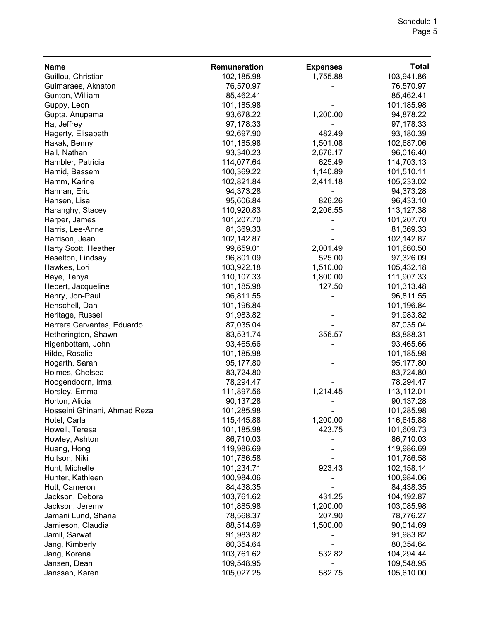| <b>Name</b>                  | Remuneration | <b>Expenses</b> | <b>Total</b> |
|------------------------------|--------------|-----------------|--------------|
| Guillou, Christian           | 102,185.98   | 1,755.88        | 103,941.86   |
| Guimaraes, Aknaton           | 76,570.97    |                 | 76,570.97    |
| Gunton, William              | 85,462.41    |                 | 85,462.41    |
| Guppy, Leon                  | 101,185.98   |                 | 101,185.98   |
| Gupta, Anupama               | 93,678.22    | 1,200.00        | 94,878.22    |
| Ha, Jeffrey                  | 97,178.33    |                 | 97,178.33    |
| Hagerty, Elisabeth           | 92,697.90    | 482.49          | 93,180.39    |
| Hakak, Benny                 | 101,185.98   | 1,501.08        | 102,687.06   |
| Hall, Nathan                 | 93,340.23    | 2,676.17        | 96,016.40    |
| Hambler, Patricia            | 114,077.64   | 625.49          | 114,703.13   |
| Hamid, Bassem                | 100,369.22   | 1,140.89        | 101,510.11   |
| Hamm, Karine                 | 102,821.84   | 2,411.18        | 105,233.02   |
| Hannan, Eric                 | 94,373.28    |                 | 94,373.28    |
| Hansen, Lisa                 | 95,606.84    | 826.26          | 96,433.10    |
| Haranghy, Stacey             | 110,920.83   | 2,206.55        | 113,127.38   |
| Harper, James                | 101,207.70   |                 | 101,207.70   |
| Harris, Lee-Anne             | 81,369.33    |                 | 81,369.33    |
| Harrison, Jean               | 102,142.87   |                 | 102,142.87   |
| Harty Scott, Heather         | 99,659.01    | 2,001.49        | 101,660.50   |
| Haselton, Lindsay            | 96,801.09    | 525.00          | 97,326.09    |
| Hawkes, Lori                 | 103,922.18   | 1,510.00        | 105,432.18   |
| Haye, Tanya                  | 110,107.33   | 1,800.00        | 111,907.33   |
| Hebert, Jacqueline           | 101,185.98   | 127.50          | 101,313.48   |
| Henry, Jon-Paul              | 96,811.55    |                 | 96,811.55    |
| Henschell, Dan               | 101,196.84   |                 | 101,196.84   |
| Heritage, Russell            | 91,983.82    |                 | 91,983.82    |
| Herrera Cervantes, Eduardo   | 87,035.04    |                 | 87,035.04    |
| Hetherington, Shawn          | 83,531.74    | 356.57          | 83,888.31    |
| Higenbottam, John            | 93,465.66    |                 | 93,465.66    |
| Hilde, Rosalie               | 101,185.98   |                 | 101,185.98   |
| Hogarth, Sarah               | 95,177.80    |                 | 95,177.80    |
| Holmes, Chelsea              | 83,724.80    |                 | 83,724.80    |
| Hoogendoorn, Irma            | 78,294.47    |                 | 78,294.47    |
| Horsley, Emma                | 111,897.56   | 1,214.45        | 113,112.01   |
| Horton, Alicia               | 90,137.28    |                 | 90,137.28    |
| Hosseini Ghinani, Ahmad Reza | 101,285.98   |                 | 101,285.98   |
| Hotel, Carla                 | 115,445.88   | 1,200.00        | 116,645.88   |
| Howell, Teresa               | 101,185.98   | 423.75          | 101,609.73   |
| Howley, Ashton               | 86,710.03    |                 | 86,710.03    |
| Huang, Hong                  | 119,986.69   |                 | 119,986.69   |
| Huitson, Niki                | 101,786.58   |                 | 101,786.58   |
| Hunt, Michelle               | 101,234.71   | 923.43          | 102,158.14   |
| Hunter, Kathleen             | 100,984.06   |                 | 100,984.06   |
| Hutt, Cameron                | 84,438.35    |                 | 84,438.35    |
| Jackson, Debora              | 103,761.62   | 431.25          | 104,192.87   |
|                              | 101,885.98   |                 | 103,085.98   |
| Jackson, Jeremy              | 78,568.37    | 1,200.00        |              |
| Jamani Lund, Shana           |              | 207.90          | 78,776.27    |
| Jamieson, Claudia            | 88,514.69    | 1,500.00        | 90,014.69    |
| Jamil, Sarwat                | 91,983.82    |                 | 91,983.82    |
| Jang, Kimberly               | 80,354.64    |                 | 80,354.64    |
| Jang, Korena                 | 103,761.62   | 532.82          | 104,294.44   |
| Jansen, Dean                 | 109,548.95   |                 | 109,548.95   |
| Janssen, Karen               | 105,027.25   | 582.75          | 105,610.00   |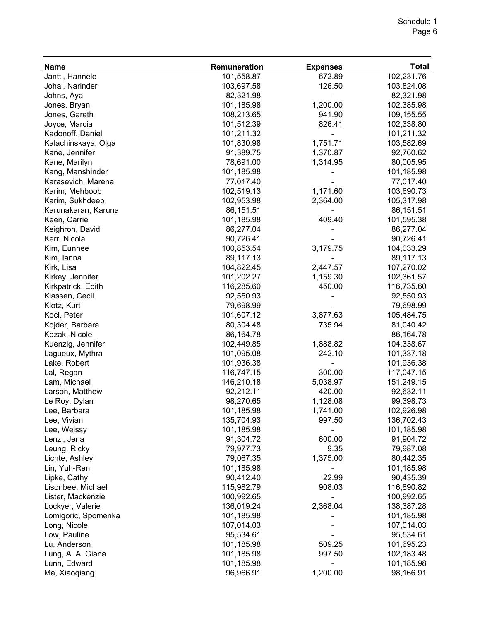| <b>Name</b>         | Remuneration | <b>Expenses</b> | <b>Total</b> |
|---------------------|--------------|-----------------|--------------|
| Jantti, Hannele     | 101,558.87   | 672.89          | 102,231.76   |
| Johal, Narinder     | 103,697.58   | 126.50          | 103,824.08   |
| Johns, Aya          | 82,321.98    |                 | 82,321.98    |
| Jones, Bryan        | 101,185.98   | 1,200.00        | 102,385.98   |
| Jones, Gareth       | 108,213.65   | 941.90          | 109,155.55   |
| Joyce, Marcia       | 101,512.39   | 826.41          | 102,338.80   |
| Kadonoff, Daniel    | 101,211.32   |                 | 101,211.32   |
| Kalachinskaya, Olga | 101,830.98   | 1,751.71        | 103,582.69   |
| Kane, Jennifer      | 91,389.75    | 1,370.87        | 92,760.62    |
| Kane, Marilyn       | 78,691.00    | 1,314.95        | 80,005.95    |
| Kang, Manshinder    | 101,185.98   |                 | 101,185.98   |
| Karasevich, Marena  | 77,017.40    |                 | 77,017.40    |
| Karim, Mehboob      | 102,519.13   | 1,171.60        | 103,690.73   |
| Karim, Sukhdeep     | 102,953.98   | 2,364.00        | 105,317.98   |
| Karunakaran, Karuna | 86,151.51    |                 | 86,151.51    |
| Keen, Carrie        | 101,185.98   | 409.40          | 101,595.38   |
| Keighron, David     | 86,277.04    |                 | 86,277.04    |
| Kerr, Nicola        | 90,726.41    |                 | 90,726.41    |
| Kim, Eunhee         | 100,853.54   | 3,179.75        | 104,033.29   |
| Kim, lanna          | 89,117.13    |                 | 89,117.13    |
| Kirk, Lisa          | 104,822.45   | 2,447.57        | 107,270.02   |
| Kirkey, Jennifer    | 101,202.27   | 1,159.30        | 102,361.57   |
| Kirkpatrick, Edith  | 116,285.60   | 450.00          | 116,735.60   |
| Klassen, Cecil      | 92,550.93    |                 | 92,550.93    |
| Klotz, Kurt         | 79,698.99    |                 | 79,698.99    |
| Koci, Peter         | 101,607.12   | 3,877.63        | 105,484.75   |
| Kojder, Barbara     | 80,304.48    | 735.94          | 81,040.42    |
| Kozak, Nicole       | 86,164.78    |                 | 86,164.78    |
| Kuenzig, Jennifer   | 102,449.85   | 1,888.82        | 104,338.67   |
| Lagueux, Mythra     | 101,095.08   | 242.10          | 101,337.18   |
| Lake, Robert        | 101,936.38   |                 | 101,936.38   |
| Lal, Regan          | 116,747.15   | 300.00          | 117,047.15   |
| Lam, Michael        | 146,210.18   | 5,038.97        | 151,249.15   |
| Larson, Matthew     | 92,212.11    | 420.00          | 92,632.11    |
| Le Roy, Dylan       | 98,270.65    | 1,128.08        | 99,398.73    |
| Lee, Barbara        | 101,185.98   | 1,741.00        | 102,926.98   |
| Lee, Vivian         | 135,704.93   | 997.50          | 136,702.43   |
| Lee, Weissy         | 101,185.98   |                 | 101,185.98   |
| Lenzi, Jena         | 91,304.72    | 600.00          | 91,904.72    |
| Leung, Ricky        | 79,977.73    | 9.35            | 79,987.08    |
| Lichte, Ashley      | 79,067.35    | 1,375.00        | 80,442.35    |
| Lin, Yuh-Ren        | 101,185.98   |                 | 101,185.98   |
| Lipke, Cathy        | 90,412.40    | 22.99           | 90,435.39    |
| Lisonbee, Michael   | 115,982.79   | 908.03          | 116,890.82   |
| Lister, Mackenzie   | 100,992.65   |                 | 100,992.65   |
| Lockyer, Valerie    | 136,019.24   | 2,368.04        | 138,387.28   |
| Lomigoric, Spomenka | 101,185.98   |                 | 101,185.98   |
| Long, Nicole        | 107,014.03   |                 | 107,014.03   |
| Low, Pauline        | 95,534.61    |                 | 95,534.61    |
| Lu, Anderson        | 101,185.98   | 509.25          | 101,695.23   |
| Lung, A. A. Giana   | 101,185.98   | 997.50          | 102,183.48   |
| Lunn, Edward        | 101,185.98   |                 | 101,185.98   |
| Ma, Xiaoqiang       | 96,966.91    | 1,200.00        | 98,166.91    |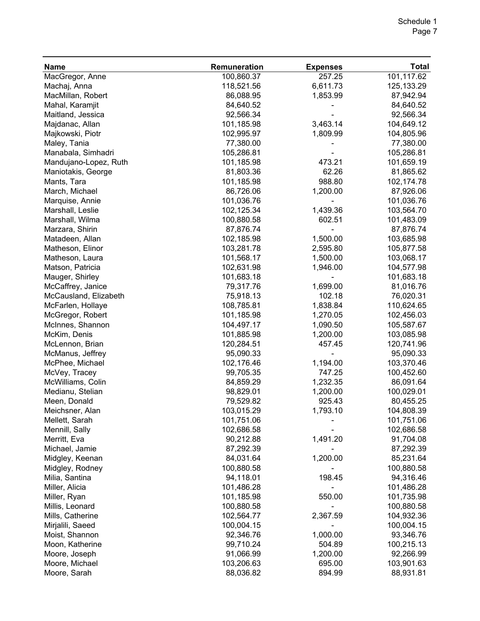#### Schedule 1 Page 7

| <b>Name</b>           | Remuneration | <b>Expenses</b> | <b>Total</b> |
|-----------------------|--------------|-----------------|--------------|
| MacGregor, Anne       | 100,860.37   | 257.25          | 101,117.62   |
| Machaj, Anna          | 118,521.56   | 6,611.73        | 125, 133. 29 |
| MacMillan, Robert     | 86,088.95    | 1,853.99        | 87,942.94    |
| Mahal, Karamjit       | 84,640.52    |                 | 84,640.52    |
| Maitland, Jessica     | 92,566.34    |                 | 92,566.34    |
| Majdanac, Allan       | 101,185.98   | 3,463.14        | 104,649.12   |
| Majkowski, Piotr      | 102,995.97   | 1,809.99        | 104,805.96   |
| Maley, Tania          | 77,380.00    |                 | 77,380.00    |
| Manabala, Simhadri    | 105,286.81   |                 | 105,286.81   |
| Mandujano-Lopez, Ruth | 101,185.98   | 473.21          | 101,659.19   |
| Maniotakis, George    | 81,803.36    | 62.26           | 81,865.62    |
| Mants, Tara           | 101,185.98   | 988.80          | 102,174.78   |
| March, Michael        | 86,726.06    | 1,200.00        | 87,926.06    |
| Marquise, Annie       | 101,036.76   |                 | 101,036.76   |
| Marshall, Leslie      | 102,125.34   | 1,439.36        | 103,564.70   |
| Marshall, Wilma       | 100,880.58   | 602.51          | 101,483.09   |
| Marzara, Shirin       | 87,876.74    |                 | 87,876.74    |
| Matadeen, Allan       | 102,185.98   | 1,500.00        | 103,685.98   |
| Matheson, Elinor      | 103,281.78   | 2,595.80        | 105,877.58   |
| Matheson, Laura       | 101,568.17   | 1,500.00        | 103,068.17   |
| Matson, Patricia      | 102,631.98   | 1,946.00        | 104,577.98   |
| Mauger, Shirley       | 101,683.18   |                 | 101,683.18   |
| McCaffrey, Janice     | 79,317.76    | 1,699.00        | 81,016.76    |
| McCausland, Elizabeth | 75,918.13    | 102.18          | 76,020.31    |
| McFarlen, Hollaye     | 108,785.81   | 1,838.84        | 110,624.65   |
| McGregor, Robert      | 101,185.98   | 1,270.05        | 102,456.03   |
| McInnes, Shannon      | 104,497.17   | 1,090.50        | 105,587.67   |
| McKim, Denis          | 101,885.98   | 1,200.00        | 103,085.98   |
| McLennon, Brian       | 120,284.51   | 457.45          | 120,741.96   |
| McManus, Jeffrey      | 95,090.33    |                 | 95,090.33    |
| McPhee, Michael       | 102,176.46   | 1,194.00        | 103,370.46   |
| McVey, Tracey         | 99,705.35    | 747.25          | 100,452.60   |
| McWilliams, Colin     | 84,859.29    | 1,232.35        | 86,091.64    |
| Medianu, Stelian      | 98,829.01    | 1,200.00        | 100,029.01   |
| Meen, Donald          | 79,529.82    | 925.43          | 80,455.25    |
| Meichsner, Alan       | 103,015.29   | 1,793.10        | 104,808.39   |
| Mellett, Sarah        | 101,751.06   |                 | 101,751.06   |
| Mennill, Sally        | 102,686.58   |                 | 102,686.58   |
| Merritt, Eva          | 90,212.88    | 1,491.20        | 91,704.08    |
| Michael, Jamie        | 87,292.39    |                 | 87,292.39    |
| Midgley, Keenan       | 84,031.64    | 1,200.00        | 85,231.64    |
| Midgley, Rodney       | 100,880.58   |                 | 100,880.58   |
| Milia, Santina        | 94,118.01    | 198.45          | 94,316.46    |
| Miller, Alicia        | 101,486.28   |                 | 101,486.28   |
| Miller, Ryan          | 101,185.98   | 550.00          | 101,735.98   |
| Millis, Leonard       | 100,880.58   |                 | 100,880.58   |
| Mills, Catherine      | 102,564.77   | 2,367.59        | 104,932.36   |
| Mirjalili, Saeed      | 100,004.15   |                 | 100,004.15   |
| Moist, Shannon        | 92,346.76    | 1,000.00        | 93,346.76    |
| Moon, Katherine       | 99,710.24    | 504.89          | 100,215.13   |
| Moore, Joseph         | 91,066.99    | 1,200.00        | 92,266.99    |
| Moore, Michael        | 103,206.63   | 695.00          | 103,901.63   |
| Moore, Sarah          | 88,036.82    | 894.99          | 88,931.81    |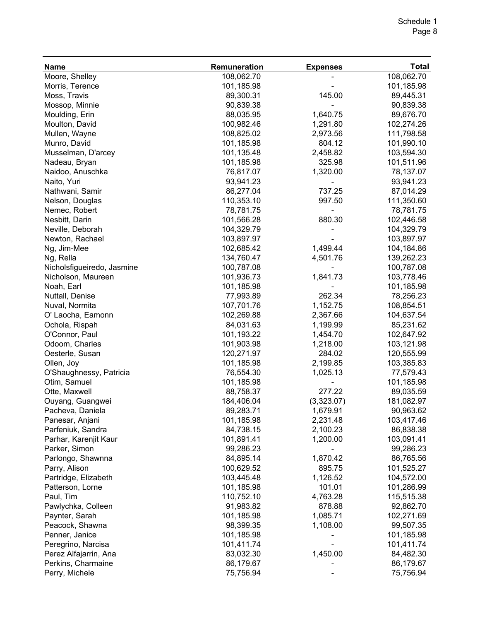| <b>Name</b>                                 | Remuneration | <b>Expenses</b> | <b>Total</b> |
|---------------------------------------------|--------------|-----------------|--------------|
| Moore, Shelley                              | 108,062.70   |                 | 108,062.70   |
| Morris, Terence                             | 101,185.98   |                 | 101,185.98   |
| Moss, Travis                                | 89,300.31    | 145.00          | 89,445.31    |
| Mossop, Minnie                              | 90,839.38    |                 | 90,839.38    |
| Moulding, Erin                              | 88,035.95    | 1,640.75        | 89,676.70    |
| Moulton, David                              | 100,982.46   | 1,291.80        | 102,274.26   |
| Mullen, Wayne                               | 108,825.02   | 2,973.56        | 111,798.58   |
| Munro, David                                | 101,185.98   | 804.12          | 101,990.10   |
| Musselman, D'arcey                          | 101,135.48   | 2,458.82        | 103,594.30   |
| Nadeau, Bryan                               | 101,185.98   | 325.98          | 101,511.96   |
| Naidoo, Anuschka                            | 76,817.07    | 1,320.00        | 78,137.07    |
| Naito, Yuri                                 | 93,941.23    |                 | 93,941.23    |
| Nathwani, Samir                             | 86,277.04    | 737.25          | 87,014.29    |
| Nelson, Douglas                             | 110,353.10   | 997.50          | 111,350.60   |
| Nemec, Robert                               | 78,781.75    |                 | 78,781.75    |
| Nesbitt, Darin                              | 101,566.28   | 880.30          | 102,446.58   |
| Neville, Deborah                            | 104,329.79   |                 | 104,329.79   |
| Newton, Rachael                             | 103,897.97   |                 | 103,897.97   |
| Ng, Jim-Mee                                 | 102,685.42   | 1,499.44        | 104,184.86   |
| Ng, Rella                                   | 134,760.47   | 4,501.76        | 139,262.23   |
| Nicholsfigueiredo, Jasmine                  | 100,787.08   |                 | 100,787.08   |
| Nicholson, Maureen                          | 101,936.73   | 1,841.73        | 103,778.46   |
| Noah, Earl                                  | 101,185.98   |                 | 101,185.98   |
| Nuttall, Denise                             | 77,993.89    | 262.34          | 78,256.23    |
| Nuval, Normita                              | 107,701.76   | 1,152.75        | 108,854.51   |
| O' Laocha, Eamonn                           | 102,269.88   | 2,367.66        | 104,637.54   |
| Ochola, Rispah                              | 84,031.63    | 1,199.99        | 85,231.62    |
| O'Connor, Paul                              | 101,193.22   | 1,454.70        | 102,647.92   |
| Odoom, Charles                              | 101,903.98   | 1,218.00        | 103,121.98   |
| Oesterle, Susan                             | 120,271.97   | 284.02          | 120,555.99   |
| Ollen, Joy                                  | 101,185.98   | 2,199.85        | 103,385.83   |
| O'Shaughnessy, Patricia                     | 76,554.30    | 1,025.13        | 77,579.43    |
| Otim, Samuel                                | 101,185.98   |                 | 101,185.98   |
| Otte, Maxwell                               | 88,758.37    | 277.22          | 89,035.59    |
| Ouyang, Guangwei                            | 184,406.04   | (3,323.07)      | 181,082.97   |
| Pacheva, Daniela                            | 89,283.71    | 1,679.91        | 90,963.62    |
| Panesar, Anjani                             | 101,185.98   | 2,231.48        | 103,417.46   |
| Parfeniuk, Sandra                           | 84,738.15    | 2,100.23        | 86,838.38    |
| Parhar, Karenjit Kaur                       | 101,891.41   | 1,200.00        | 103,091.41   |
| Parker, Simon                               | 99,286.23    |                 | 99,286.23    |
| Parlongo, Shawnna                           | 84,895.14    | 1,870.42        | 86,765.56    |
| Parry, Alison                               | 100,629.52   | 895.75          | 101,525.27   |
| Partridge, Elizabeth                        | 103,445.48   | 1,126.52        | 104,572.00   |
| Patterson, Lorne                            | 101,185.98   | 101.01          | 101,286.99   |
| Paul, Tim                                   | 110,752.10   | 4,763.28        | 115,515.38   |
| Pawlychka, Colleen                          | 91,983.82    | 878.88          | 92,862.70    |
| Paynter, Sarah                              | 101,185.98   | 1,085.71        | 102,271.69   |
| Peacock, Shawna                             | 98,399.35    | 1,108.00        | 99,507.35    |
| Penner, Janice                              | 101,185.98   |                 | 101,185.98   |
|                                             | 101,411.74   |                 | 101,411.74   |
| Peregrino, Narcisa                          | 83,032.30    | 1,450.00        |              |
| Perez Alfajarrin, Ana<br>Perkins, Charmaine |              |                 | 84,482.30    |
|                                             | 86,179.67    |                 | 86,179.67    |
| Perry, Michele                              | 75,756.94    |                 | 75,756.94    |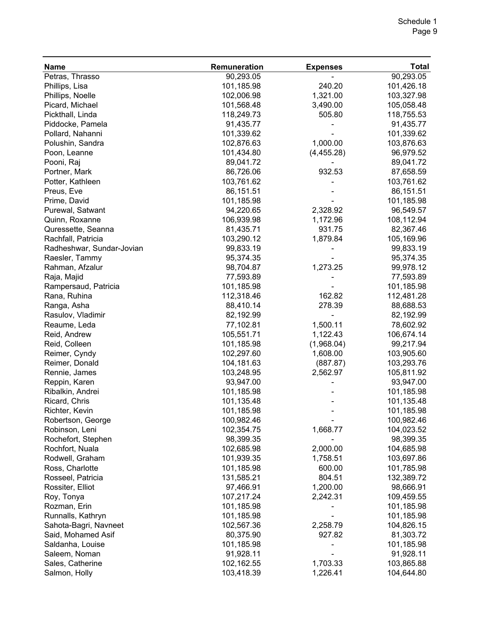| <b>Name</b>               | Remuneration | <b>Expenses</b> | <b>Total</b> |
|---------------------------|--------------|-----------------|--------------|
| Petras, Thrasso           | 90,293.05    |                 | 90,293.05    |
| Phillips, Lisa            | 101,185.98   | 240.20          | 101,426.18   |
| Phillips, Noelle          | 102,006.98   | 1,321.00        | 103,327.98   |
| Picard, Michael           | 101,568.48   | 3,490.00        | 105,058.48   |
| Pickthall, Linda          | 118,249.73   | 505.80          | 118,755.53   |
| Piddocke, Pamela          | 91,435.77    |                 | 91,435.77    |
| Pollard, Nahanni          | 101,339.62   |                 | 101,339.62   |
| Polushin, Sandra          | 102,876.63   | 1,000.00        | 103,876.63   |
| Poon, Leanne              | 101,434.80   | (4,455.28)      | 96,979.52    |
| Pooni, Raj                | 89,041.72    |                 | 89,041.72    |
| Portner, Mark             | 86,726.06    | 932.53          | 87,658.59    |
| Potter, Kathleen          | 103,761.62   |                 | 103,761.62   |
| Preus, Eve                | 86,151.51    |                 | 86,151.51    |
| Prime, David              | 101,185.98   |                 | 101,185.98   |
| Purewal, Satwant          | 94,220.65    | 2,328.92        | 96,549.57    |
| Quinn, Roxanne            | 106,939.98   | 1,172.96        | 108,112.94   |
| Quressette, Seanna        | 81,435.71    | 931.75          | 82,367.46    |
| Rachfall, Patricia        | 103,290.12   | 1,879.84        | 105,169.96   |
| Radheshwar, Sundar-Jovian | 99,833.19    |                 | 99,833.19    |
| Raesler, Tammy            | 95,374.35    |                 | 95,374.35    |
| Rahman, Afzalur           | 98,704.87    | 1,273.25        | 99,978.12    |
| Raja, Majid               | 77,593.89    |                 | 77,593.89    |
| Rampersaud, Patricia      | 101,185.98   |                 | 101,185.98   |
| Rana, Ruhina              | 112,318.46   | 162.82          | 112,481.28   |
| Ranga, Asha               | 88,410.14    | 278.39          | 88,688.53    |
| Rasulov, Vladimir         | 82,192.99    |                 | 82,192.99    |
| Reaume, Leda              | 77,102.81    | 1,500.11        | 78,602.92    |
| Reid, Andrew              | 105,551.71   | 1,122.43        | 106,674.14   |
| Reid, Colleen             | 101,185.98   | (1,968.04)      | 99,217.94    |
| Reimer, Cyndy             | 102,297.60   | 1,608.00        | 103,905.60   |
| Reimer, Donald            | 104,181.63   | (887.87)        | 103,293.76   |
| Rennie, James             | 103,248.95   | 2,562.97        | 105,811.92   |
| Reppin, Karen             | 93,947.00    |                 | 93,947.00    |
| Ribalkin, Andrei          | 101,185.98   |                 | 101,185.98   |
| Ricard, Chris             | 101,135.48   |                 | 101,135.48   |
| Richter, Kevin            | 101,185.98   |                 | 101,185.98   |
| Robertson, George         | 100,982.46   |                 | 100,982.46   |
| Robinson, Leni            | 102,354.75   | 1,668.77        | 104,023.52   |
| Rochefort, Stephen        | 98,399.35    |                 | 98,399.35    |
| Rochfort, Nuala           | 102,685.98   | 2,000.00        | 104,685.98   |
| Rodwell, Graham           | 101,939.35   | 1,758.51        | 103,697.86   |
| Ross, Charlotte           | 101,185.98   | 600.00          | 101,785.98   |
| Rosseel, Patricia         | 131,585.21   | 804.51          | 132,389.72   |
| Rossiter, Elliot          | 97,466.91    | 1,200.00        | 98,666.91    |
| Roy, Tonya                | 107,217.24   | 2,242.31        | 109,459.55   |
| Rozman, Erin              | 101,185.98   |                 | 101,185.98   |
| Runnalls, Kathryn         | 101,185.98   |                 | 101,185.98   |
| Sahota-Bagri, Navneet     | 102,567.36   | 2,258.79        | 104,826.15   |
| Said, Mohamed Asif        | 80,375.90    | 927.82          | 81,303.72    |
| Saldanha, Louise          | 101,185.98   |                 | 101,185.98   |
| Saleem, Noman             | 91,928.11    |                 | 91,928.11    |
| Sales, Catherine          | 102,162.55   | 1,703.33        | 103,865.88   |
| Salmon, Holly             | 103,418.39   | 1,226.41        | 104,644.80   |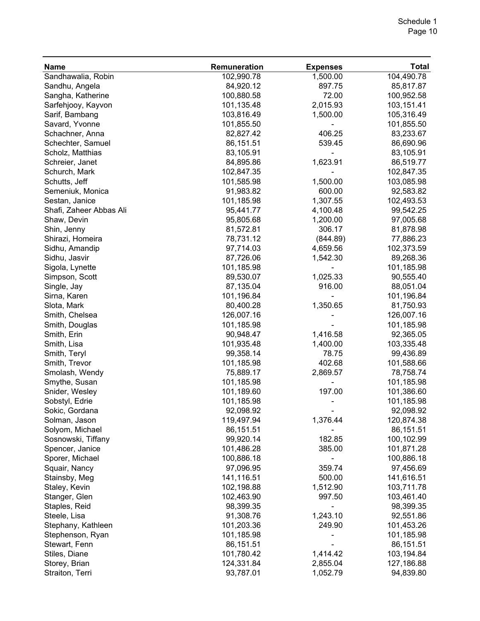| <b>Name</b>             | Remuneration | <b>Expenses</b> | <b>Total</b> |
|-------------------------|--------------|-----------------|--------------|
| Sandhawalia, Robin      | 102,990.78   | 1,500.00        | 104,490.78   |
| Sandhu, Angela          | 84,920.12    | 897.75          | 85,817.87    |
| Sangha, Katherine       | 100,880.58   | 72.00           | 100,952.58   |
| Sarfehjooy, Kayvon      | 101,135.48   | 2,015.93        | 103,151.41   |
| Sarif, Bambang          | 103,816.49   | 1,500.00        | 105,316.49   |
| Savard, Yvonne          | 101,855.50   |                 | 101,855.50   |
| Schachner, Anna         | 82,827.42    | 406.25          | 83,233.67    |
| Schechter, Samuel       | 86,151.51    | 539.45          | 86,690.96    |
| Scholz, Matthias        | 83,105.91    |                 | 83,105.91    |
| Schreier, Janet         | 84,895.86    | 1,623.91        | 86,519.77    |
| Schurch, Mark           | 102,847.35   |                 | 102,847.35   |
| Schutts, Jeff           | 101,585.98   | 1,500.00        | 103,085.98   |
| Semeniuk, Monica        | 91,983.82    | 600.00          | 92,583.82    |
| Sestan, Janice          | 101,185.98   | 1,307.55        | 102,493.53   |
| Shafi, Zaheer Abbas Ali | 95,441.77    | 4,100.48        | 99,542.25    |
| Shaw, Devin             | 95,805.68    | 1,200.00        | 97,005.68    |
| Shin, Jenny             | 81,572.81    | 306.17          | 81,878.98    |
| Shirazi, Homeira        | 78,731.12    | (844.89)        | 77,886.23    |
| Sidhu, Amandip          | 97,714.03    | 4,659.56        | 102,373.59   |
| Sidhu, Jasvir           | 87,726.06    | 1,542.30        | 89,268.36    |
| Sigola, Lynette         | 101,185.98   |                 | 101,185.98   |
| Simpson, Scott          | 89,530.07    | 1,025.33        | 90,555.40    |
| Single, Jay             | 87,135.04    | 916.00          | 88,051.04    |
| Sirna, Karen            | 101,196.84   |                 | 101,196.84   |
| Slota, Mark             | 80,400.28    | 1,350.65        | 81,750.93    |
| Smith, Chelsea          | 126,007.16   |                 | 126,007.16   |
| Smith, Douglas          | 101,185.98   |                 | 101,185.98   |
| Smith, Erin             | 90,948.47    | 1,416.58        | 92,365.05    |
| Smith, Lisa             | 101,935.48   | 1,400.00        | 103,335.48   |
| Smith, Teryl            | 99,358.14    | 78.75           | 99,436.89    |
| Smith, Trevor           | 101,185.98   | 402.68          | 101,588.66   |
| Smolash, Wendy          | 75,889.17    | 2,869.57        | 78,758.74    |
| Smythe, Susan           | 101,185.98   |                 | 101,185.98   |
| Snider, Wesley          | 101,189.60   | 197.00          | 101,386.60   |
| Sobstyl, Edrie          | 101,185.98   |                 | 101,185.98   |
| Sokic, Gordana          | 92,098.92    |                 | 92,098.92    |
| Solman, Jason           | 119,497.94   | 1,376.44        | 120,874.38   |
| Solyom, Michael         | 86,151.51    |                 | 86,151.51    |
| Sosnowski, Tiffany      | 99,920.14    | 182.85          | 100,102.99   |
| Spencer, Janice         | 101,486.28   | 385.00          | 101,871.28   |
| Sporer, Michael         | 100,886.18   |                 | 100,886.18   |
| Squair, Nancy           | 97,096.95    | 359.74          | 97,456.69    |
| Stainsby, Meg           | 141,116.51   | 500.00          | 141,616.51   |
| Staley, Kevin           | 102,198.88   | 1,512.90        | 103,711.78   |
| Stanger, Glen           | 102,463.90   | 997.50          | 103,461.40   |
| Staples, Reid           | 98,399.35    |                 | 98,399.35    |
| Steele, Lisa            | 91,308.76    | 1,243.10        | 92,551.86    |
| Stephany, Kathleen      | 101,203.36   | 249.90          | 101,453.26   |
| Stephenson, Ryan        | 101,185.98   |                 | 101,185.98   |
| Stewart, Fenn           | 86,151.51    |                 | 86,151.51    |
| Stiles, Diane           | 101,780.42   | 1,414.42        | 103,194.84   |
| Storey, Brian           | 124,331.84   | 2,855.04        | 127,186.88   |
| Straiton, Terri         | 93,787.01    | 1,052.79        | 94,839.80    |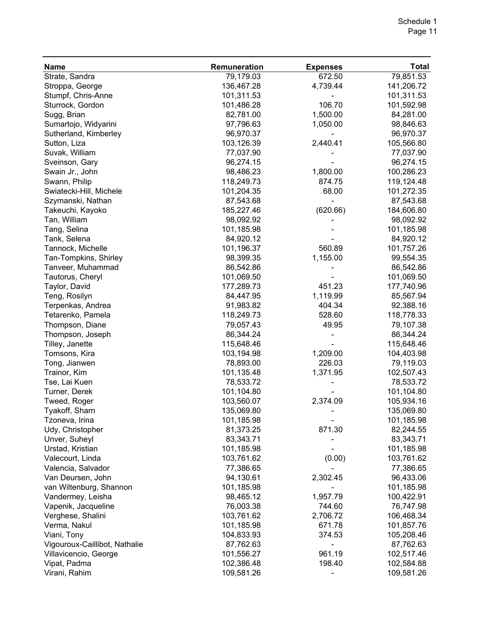| <b>Name</b>                   | Remuneration | <b>Expenses</b> | <b>Total</b> |
|-------------------------------|--------------|-----------------|--------------|
| Strate, Sandra                | 79,179.03    | 672.50          | 79,851.53    |
| Stroppa, George               | 136,467.28   | 4,739.44        | 141,206.72   |
| Stumpf, Chris-Anne            | 101,311.53   |                 | 101,311.53   |
| Sturrock, Gordon              | 101,486.28   | 106.70          | 101,592.98   |
| Sugg, Brian                   | 82,781.00    | 1,500.00        | 84,281.00    |
| Sumartojo, Widyarini          | 97,796.63    | 1,050.00        | 98,846.63    |
| Sutherland, Kimberley         | 96,970.37    |                 | 96,970.37    |
| Sutton, Liza                  | 103,126.39   | 2,440.41        | 105,566.80   |
| Suvak, William                | 77,037.90    |                 | 77,037.90    |
| Sveinson, Gary                | 96,274.15    |                 | 96,274.15    |
| Swain Jr., John               | 98,486.23    | 1,800.00        | 100,286.23   |
| Swann, Philip                 | 118,249.73   | 874.75          | 119,124.48   |
| Swiatecki-Hill, Michele       | 101,204.35   | 68.00           | 101,272.35   |
| Szymanski, Nathan             | 87,543.68    |                 | 87,543.68    |
| Takeuchi, Kayoko              | 185,227.46   | (620.66)        | 184,606.80   |
| Tan, William                  | 98,092.92    |                 | 98,092.92    |
| Tang, Selina                  | 101,185.98   |                 | 101,185.98   |
| Tank, Selena                  | 84,920.12    |                 | 84,920.12    |
| Tannock, Michelle             | 101,196.37   | 560.89          | 101,757.26   |
| Tan-Tompkins, Shirley         | 98,399.35    | 1,155.00        | 99,554.35    |
| Tanveer, Muhammad             | 86,542.86    |                 | 86,542.86    |
| Tautorus, Cheryl              | 101,069.50   |                 | 101,069.50   |
| Taylor, David                 | 177,289.73   | 451.23          | 177,740.96   |
| Teng, Rosilyn                 | 84,447.95    | 1,119.99        | 85,567.94    |
| Terpenkas, Andrea             | 91,983.82    | 404.34          | 92,388.16    |
| Tetarenko, Pamela             | 118,249.73   | 528.60          | 118,778.33   |
| Thompson, Diane               | 79,057.43    | 49.95           | 79,107.38    |
| Thompson, Joseph              | 86,344.24    |                 | 86,344.24    |
| Tilley, Janette               | 115,648.46   |                 | 115,648.46   |
| Tomsons, Kira                 | 103,194.98   | 1,209.00        | 104,403.98   |
| Tong, Jianwen                 | 78,893.00    | 226.03          | 79,119.03    |
| Trainor, Kim                  | 101,135.48   | 1,371.95        | 102,507.43   |
| Tse, Lai Kuen                 | 78,533.72    |                 | 78,533.72    |
| Turner, Derek                 | 101,104.80   |                 | 101,104.80   |
| Tweed, Roger                  | 103,560.07   | 2,374.09        | 105,934.16   |
| Tyakoff, Sharn                | 135,069.80   |                 | 135,069.80   |
| Tzoneva, Irina                | 101,185.98   |                 | 101,185.98   |
| Udy, Christopher              | 81,373.25    | 871.30          | 82,244.55    |
| Unver, Suheyl                 | 83,343.71    |                 | 83,343.71    |
| Urstad, Kristian              | 101,185.98   |                 | 101,185.98   |
| Valecourt, Linda              | 103,761.62   | (0.00)          | 103,761.62   |
| Valencia, Salvador            | 77,386.65    |                 | 77,386.65    |
| Van Deursen, John             | 94,130.61    | 2,302.45        | 96,433.06    |
| van Wiltenburg, Shannon       | 101,185.98   |                 | 101,185.98   |
| Vandermey, Leisha             | 98,465.12    | 1,957.79        | 100,422.91   |
| Vapenik, Jacqueline           | 76,003.38    | 744.60          | 76,747.98    |
| Verghese, Shalini             | 103,761.62   | 2,706.72        | 106,468.34   |
| Verma, Nakul                  | 101,185.98   | 671.78          | 101,857.76   |
| Viani, Tony                   | 104,833.93   | 374.53          | 105,208.46   |
| Vigouroux-Caillibot, Nathalie | 87,762.63    |                 | 87,762.63    |
| Villavicencio, George         | 101,556.27   | 961.19          | 102,517.46   |
| Vipat, Padma                  | 102,386.48   | 198.40          | 102,584.88   |
| Virani, Rahim                 | 109,581.26   |                 | 109,581.26   |
|                               |              |                 |              |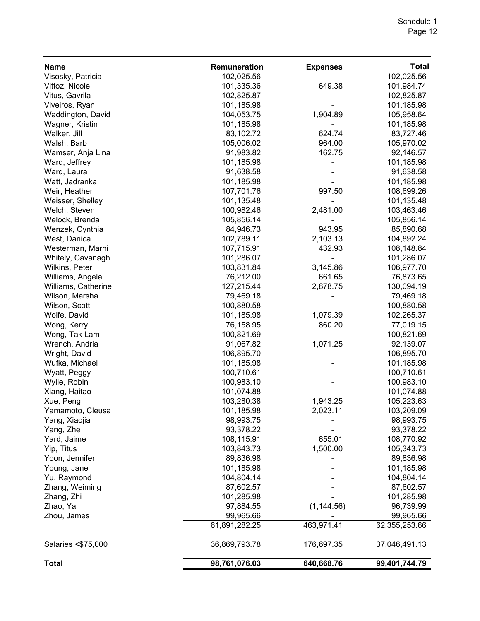| <b>Name</b>         | Remuneration  | <b>Expenses</b> | <b>Total</b>  |
|---------------------|---------------|-----------------|---------------|
| Visosky, Patricia   | 102,025.56    |                 | 102,025.56    |
| Vittoz, Nicole      | 101,335.36    | 649.38          | 101,984.74    |
| Vitus, Gavrila      | 102,825.87    |                 | 102,825.87    |
| Viveiros, Ryan      | 101,185.98    |                 | 101,185.98    |
| Waddington, David   | 104,053.75    | 1,904.89        | 105,958.64    |
| Wagner, Kristin     | 101,185.98    |                 | 101,185.98    |
| Walker, Jill        | 83,102.72     | 624.74          | 83,727.46     |
| Walsh, Barb         | 105,006.02    | 964.00          | 105,970.02    |
| Wamser, Anja Lina   | 91,983.82     | 162.75          | 92,146.57     |
| Ward, Jeffrey       | 101,185.98    |                 | 101,185.98    |
| Ward, Laura         | 91,638.58     |                 | 91,638.58     |
| Watt, Jadranka      | 101,185.98    |                 | 101,185.98    |
| Weir, Heather       | 107,701.76    | 997.50          | 108,699.26    |
| Weisser, Shelley    | 101,135.48    |                 | 101,135.48    |
| Welch, Steven       | 100,982.46    | 2,481.00        | 103,463.46    |
| Welock, Brenda      | 105,856.14    |                 | 105,856.14    |
| Wenzek, Cynthia     | 84,946.73     | 943.95          | 85,890.68     |
| West, Danica        | 102,789.11    | 2,103.13        | 104,892.24    |
| Westerman, Marni    | 107,715.91    | 432.93          | 108,148.84    |
| Whitely, Cavanagh   | 101,286.07    |                 | 101,286.07    |
| Wilkins, Peter      | 103,831.84    | 3,145.86        | 106,977.70    |
| Williams, Angela    | 76,212.00     | 661.65          | 76,873.65     |
| Williams, Catherine | 127,215.44    | 2,878.75        | 130,094.19    |
| Wilson, Marsha      | 79,469.18     |                 | 79,469.18     |
| Wilson, Scott       | 100,880.58    |                 | 100,880.58    |
|                     | 101,185.98    | 1,079.39        | 102,265.37    |
| Wolfe, David        |               |                 |               |
| Wong, Kerry         | 76,158.95     | 860.20          | 77,019.15     |
| Wong, Tak Lam       | 100,821.69    |                 | 100,821.69    |
| Wrench, Andria      | 91,067.82     | 1,071.25        | 92,139.07     |
| Wright, David       | 106,895.70    |                 | 106,895.70    |
| Wufka, Michael      | 101,185.98    |                 | 101,185.98    |
| Wyatt, Peggy        | 100,710.61    |                 | 100,710.61    |
| Wylie, Robin        | 100,983.10    |                 | 100,983.10    |
| Xiang, Haitao       | 101,074.88    |                 | 101,074.88    |
| Xue, Peng           | 103,280.38    | 1,943.25        | 105,223.63    |
| Yamamoto, Cleusa    | 101,185.98    | 2,023.11        | 103,209.09    |
| Yang, Xiaojia       | 98,993.75     |                 | 98,993.75     |
| Yang, Zhe           | 93,378.22     |                 | 93,378.22     |
| Yard, Jaime         | 108,115.91    | 655.01          | 108,770.92    |
| Yip, Titus          | 103,843.73    | 1,500.00        | 105,343.73    |
| Yoon, Jennifer      | 89,836.98     |                 | 89,836.98     |
| Young, Jane         | 101,185.98    |                 | 101,185.98    |
| Yu, Raymond         | 104,804.14    |                 | 104,804.14    |
| Zhang, Weiming      | 87,602.57     |                 | 87,602.57     |
| Zhang, Zhi          | 101,285.98    |                 | 101,285.98    |
| Zhao, Ya            | 97,884.55     | (1, 144.56)     | 96,739.99     |
| Zhou, James         | 99,965.66     |                 | 99,965.66     |
|                     | 61,891,282.25 | 463,971.41      | 62,355,253.66 |
| Salaries <\$75,000  | 36,869,793.78 | 176,697.35      | 37,046,491.13 |
| <b>Total</b>        | 98,761,076.03 | 640,668.76      | 99,401,744.79 |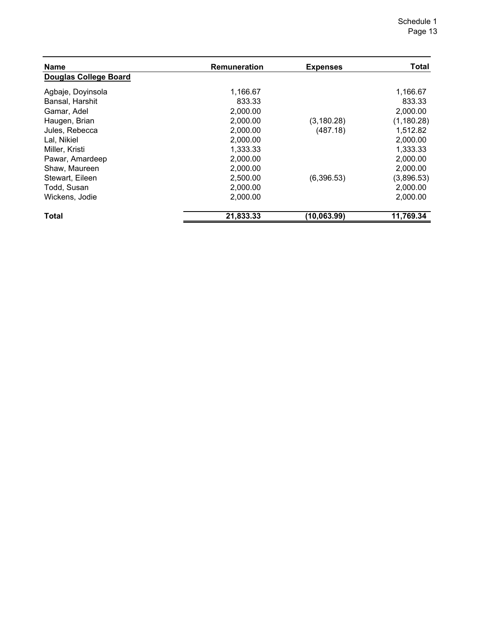| <b>Name</b>                  | Remuneration | <b>Expenses</b> | <b>Total</b> |
|------------------------------|--------------|-----------------|--------------|
| <b>Douglas College Board</b> |              |                 |              |
| Agbaje, Doyinsola            | 1,166.67     |                 | 1,166.67     |
| Bansal, Harshit              | 833.33       |                 | 833.33       |
| Gamar, Adel                  | 2,000.00     |                 | 2,000.00     |
| Haugen, Brian                | 2,000.00     | (3, 180.28)     | (1, 180.28)  |
| Jules, Rebecca               | 2,000.00     | (487.18)        | 1,512.82     |
| Lal, Nikiel                  | 2,000.00     |                 | 2,000.00     |
| Miller, Kristi               | 1,333.33     |                 | 1,333.33     |
| Pawar, Amardeep              | 2,000.00     |                 | 2,000.00     |
| Shaw, Maureen                | 2,000.00     |                 | 2,000.00     |
| Stewart, Eileen              | 2,500.00     | (6,396.53)      | (3,896.53)   |
| Todd, Susan                  | 2,000.00     |                 | 2,000.00     |
| Wickens, Jodie               | 2,000.00     |                 | 2,000.00     |
| <b>Total</b>                 | 21,833.33    | (10,063.99)     | 11,769.34    |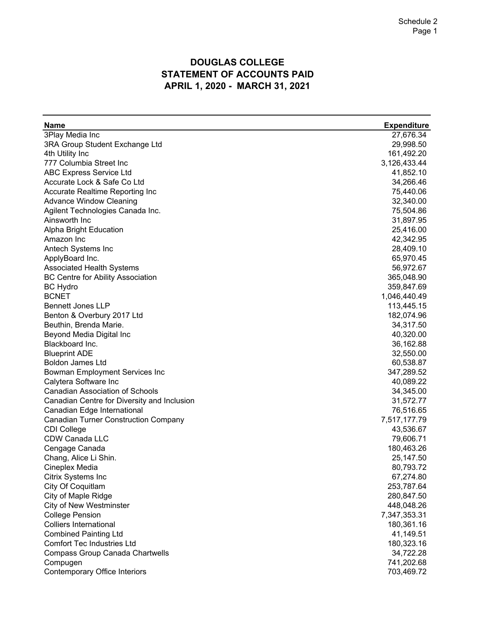### **DOUGLAS COLLEGE STATEMENT OF ACCOUNTS PAID APRIL 1, 2020 - MARCH 31, 2021**

| <b>Name</b>                                 | <b>Expenditure</b> |
|---------------------------------------------|--------------------|
| 3Play Media Inc                             | 27,676.34          |
| 3RA Group Student Exchange Ltd              | 29,998.50          |
| 4th Utility Inc                             | 161,492.20         |
| 777 Columbia Street Inc                     | 3,126,433.44       |
| ABC Express Service Ltd                     | 41,852.10          |
| Accurate Lock & Safe Co Ltd                 | 34,266.46          |
| Accurate Realtime Reporting Inc             | 75,440.06          |
| <b>Advance Window Cleaning</b>              | 32,340.00          |
| Agilent Technologies Canada Inc.            | 75,504.86          |
| Ainsworth Inc                               | 31,897.95          |
| Alpha Bright Education                      | 25,416.00          |
| Amazon Inc                                  | 42,342.95          |
| Antech Systems Inc                          | 28,409.10          |
| ApplyBoard Inc.                             | 65,970.45          |
| <b>Associated Health Systems</b>            | 56,972.67          |
| <b>BC Centre for Ability Association</b>    | 365,048.90         |
|                                             |                    |
| <b>BC Hydro</b><br><b>BCNET</b>             | 359,847.69         |
| <b>Bennett Jones LLP</b>                    | 1,046,440.49       |
|                                             | 113,445.15         |
| Benton & Overbury 2017 Ltd                  | 182,074.96         |
| Beuthin, Brenda Marie.                      | 34,317.50          |
| Beyond Media Digital Inc                    | 40,320.00          |
| Blackboard Inc.                             | 36,162.88          |
| <b>Blueprint ADE</b>                        | 32,550.00          |
| <b>Boldon James Ltd</b>                     | 60,538.87          |
| <b>Bowman Employment Services Inc</b>       | 347,289.52         |
| Calytera Software Inc                       | 40,089.22          |
| <b>Canadian Association of Schools</b>      | 34,345.00          |
| Canadian Centre for Diversity and Inclusion | 31,572.77          |
| Canadian Edge International                 | 76,516.65          |
| <b>Canadian Turner Construction Company</b> | 7,517,177.79       |
| <b>CDI College</b>                          | 43,536.67          |
| CDW Canada LLC                              | 79,606.71          |
| Cengage Canada                              | 180,463.26         |
| Chang, Alice Li Shin.                       | 25,147.50          |
| Cineplex Media                              | 80,793.72          |
| Citrix Systems Inc                          | 67,274.80          |
| City Of Coquitlam                           | 253,787.64         |
| City of Maple Ridge                         | 280,847.50         |
| <b>City of New Westminster</b>              | 448,048.26         |
| <b>College Pension</b>                      | 7,347,353.31       |
| <b>Colliers International</b>               | 180,361.16         |
| <b>Combined Painting Ltd</b>                | 41,149.51          |
| <b>Comfort Tec Industries Ltd</b>           | 180,323.16         |
| <b>Compass Group Canada Chartwells</b>      | 34,722.28          |
| Compugen                                    | 741,202.68         |
| <b>Contemporary Office Interiors</b>        | 703,469.72         |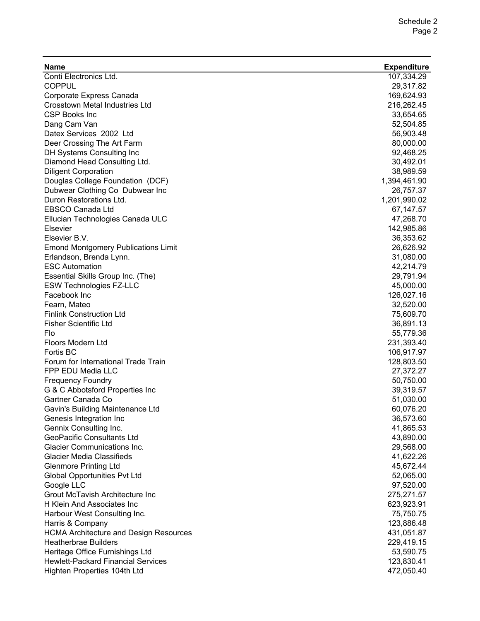| Name                                          | <b>Expenditure</b> |
|-----------------------------------------------|--------------------|
| Conti Electronics Ltd.                        | 107,334.29         |
| <b>COPPUL</b>                                 | 29,317.82          |
| Corporate Express Canada                      | 169,624.93         |
| <b>Crosstown Metal Industries Ltd</b>         | 216,262.45         |
| <b>CSP Books Inc</b>                          | 33,654.65          |
| Dang Cam Van                                  | 52,504.85          |
| Datex Services 2002 Ltd                       | 56,903.48          |
| Deer Crossing The Art Farm                    | 80,000.00          |
| DH Systems Consulting Inc                     | 92,468.25          |
| Diamond Head Consulting Ltd.                  | 30,492.01          |
| <b>Diligent Corporation</b>                   | 38,989.59          |
| Douglas College Foundation (DCF)              | 1,394,461.90       |
| Dubwear Clothing Co Dubwear Inc               | 26,757.37          |
| Duron Restorations Ltd.                       | 1,201,990.02       |
| <b>EBSCO Canada Ltd</b>                       | 67,147.57          |
| Ellucian Technologies Canada ULC              | 47,268.70          |
| Elsevier                                      | 142,985.86         |
| Elsevier B.V.                                 | 36,353.62          |
| <b>Emond Montgomery Publications Limit</b>    | 26,626.92          |
| Erlandson, Brenda Lynn.                       | 31,080.00          |
| <b>ESC Automation</b>                         | 42,214.79          |
| Essential Skills Group Inc. (The)             | 29,791.94          |
| <b>ESW Technologies FZ-LLC</b>                | 45,000.00          |
| Facebook Inc                                  | 126,027.16         |
| Fearn, Mateo                                  | 32,520.00          |
| <b>Finlink Construction Ltd</b>               | 75,609.70          |
| <b>Fisher Scientific Ltd</b>                  | 36,891.13          |
| Flo                                           | 55,779.36          |
| Floors Modern Ltd                             | 231,393.40         |
| Fortis BC                                     | 106,917.97         |
| Forum for International Trade Train           | 128,803.50         |
| FPP EDU Media LLC                             | 27,372.27          |
| <b>Frequency Foundry</b>                      | 50,750.00          |
| G & C Abbotsford Properties Inc               | 39,319.57          |
| Gartner Canada Co                             | 51,030.00          |
| Gavin's Building Maintenance Ltd              | 60,076.20          |
| Genesis Integration Inc                       | 36,573.60          |
| Gennix Consulting Inc.                        | 41,865.53          |
| <b>GeoPacific Consultants Ltd</b>             | 43,890.00          |
| <b>Glacier Communications Inc.</b>            | 29,568.00          |
| <b>Glacier Media Classifieds</b>              | 41,622.26          |
| <b>Glenmore Printing Ltd</b>                  | 45,672.44          |
| <b>Global Opportunities Pvt Ltd</b>           | 52,065.00          |
| Google LLC                                    | 97,520.00          |
| Grout McTavish Architecture Inc               | 275,271.57         |
| H Klein And Associates Inc                    | 623,923.91         |
| Harbour West Consulting Inc.                  | 75,750.75          |
| Harris & Company                              | 123,886.48         |
| <b>HCMA Architecture and Design Resources</b> | 431,051.87         |
| <b>Heatherbrae Builders</b>                   | 229,419.15         |
| Heritage Office Furnishings Ltd               | 53,590.75          |
| <b>Hewlett-Packard Financial Services</b>     | 123,830.41         |
| Highten Properties 104th Ltd                  | 472,050.40         |
|                                               |                    |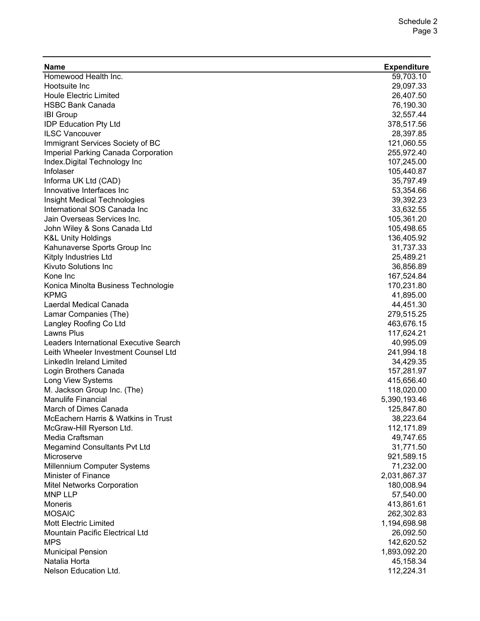| Name                                                         | <b>Expenditure</b>      |
|--------------------------------------------------------------|-------------------------|
| Homewood Health Inc.                                         | 59,703.10               |
| Hootsuite Inc                                                | 29,097.33               |
| <b>Houle Electric Limited</b>                                | 26,407.50               |
| <b>HSBC Bank Canada</b>                                      | 76,190.30               |
| <b>IBI Group</b>                                             | 32,557.44               |
| <b>IDP Education Pty Ltd</b>                                 | 378,517.56              |
| <b>ILSC Vancouver</b>                                        | 28,397.85               |
| Immigrant Services Society of BC                             | 121,060.55              |
| Imperial Parking Canada Corporation                          | 255,972.40              |
| Index.Digital Technology Inc                                 | 107,245.00              |
| Infolaser                                                    | 105,440.87              |
| Informa UK Ltd (CAD)                                         | 35,797.49               |
| Innovative Interfaces Inc                                    | 53,354.66               |
| Insight Medical Technologies                                 | 39,392.23               |
| International SOS Canada Inc                                 | 33,632.55               |
| Jain Overseas Services Inc.                                  | 105,361.20              |
| John Wiley & Sons Canada Ltd                                 | 105,498.65              |
| <b>K&amp;L Unity Holdings</b>                                | 136,405.92              |
| Kahunaverse Sports Group Inc                                 | 31,737.33               |
| Kitply Industries Ltd                                        | 25,489.21               |
| <b>Kivuto Solutions Inc</b>                                  | 36,856.89               |
| Kone Inc                                                     | 167,524.84              |
| Konica Minolta Business Technologie                          | 170,231.80              |
| <b>KPMG</b>                                                  | 41,895.00               |
| Laerdal Medical Canada                                       | 44,451.30               |
| Lamar Companies (The)                                        | 279,515.25              |
| Langley Roofing Co Ltd                                       | 463,676.15              |
| Lawns Plus                                                   | 117,624.21              |
| Leaders International Executive Search                       | 40,995.09               |
| Leith Wheeler Investment Counsel Ltd                         | 241,994.18              |
| LinkedIn Ireland Limited                                     | 34,429.35               |
| Login Brothers Canada                                        | 157,281.97              |
| Long View Systems                                            | 415,656.40              |
| M. Jackson Group Inc. (The)<br><b>Manulife Financial</b>     | 118,020.00              |
|                                                              | 5,390,193.46            |
| March of Dimes Canada<br>McEachern Harris & Watkins in Trust | 125,847.80              |
| McGraw-Hill Ryerson Ltd.                                     | 38,223.64<br>112,171.89 |
| Media Craftsman                                              | 49,747.65               |
| <b>Megamind Consultants Pvt Ltd</b>                          | 31,771.50               |
| Microserve                                                   | 921,589.15              |
| Millennium Computer Systems                                  | 71,232.00               |
| Minister of Finance                                          | 2,031,867.37            |
| Mitel Networks Corporation                                   | 180,008.94              |
| <b>MNP LLP</b>                                               | 57,540.00               |
| Moneris                                                      | 413,861.61              |
| <b>MOSAIC</b>                                                | 262,302.83              |
| Mott Electric Limited                                        | 1,194,698.98            |
| Mountain Pacific Electrical Ltd                              | 26,092.50               |
| <b>MPS</b>                                                   | 142,620.52              |
| <b>Municipal Pension</b>                                     | 1,893,092.20            |
| Natalia Horta                                                | 45,158.34               |
| Nelson Education Ltd.                                        | 112,224.31              |
|                                                              |                         |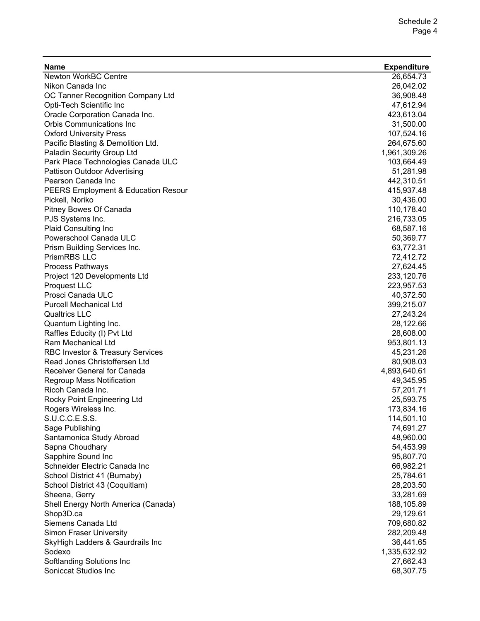| <b>Name</b>                                         | <b>Expenditure</b> |
|-----------------------------------------------------|--------------------|
| <b>Newton WorkBC Centre</b>                         | 26,654.73          |
| Nikon Canada Inc                                    | 26,042.02          |
| OC Tanner Recognition Company Ltd                   | 36,908.48          |
| Opti-Tech Scientific Inc                            | 47,612.94          |
| Oracle Corporation Canada Inc.                      | 423,613.04         |
| <b>Orbis Communications Inc</b>                     | 31,500.00          |
| <b>Oxford University Press</b>                      | 107,524.16         |
| Pacific Blasting & Demolition Ltd.                  | 264,675.60         |
| Paladin Security Group Ltd                          | 1,961,309.26       |
| Park Place Technologies Canada ULC                  | 103,664.49         |
| Pattison Outdoor Advertising                        | 51,281.98          |
| Pearson Canada Inc                                  | 442,310.51         |
| PEERS Employment & Education Resour                 | 415,937.48         |
| Pickell, Noriko                                     | 30,436.00          |
| Pitney Bowes Of Canada                              | 110,178.40         |
| PJS Systems Inc.                                    | 216,733.05         |
| Plaid Consulting Inc                                | 68,587.16          |
| Powerschool Canada ULC                              | 50,369.77          |
| Prism Building Services Inc.                        | 63,772.31          |
| PrismRBS LLC                                        | 72,412.72          |
| Process Pathways                                    | 27,624.45          |
| Project 120 Developments Ltd                        | 233,120.76         |
| Proquest LLC                                        | 223,957.53         |
| Prosci Canada ULC                                   | 40,372.50          |
| <b>Purcell Mechanical Ltd</b>                       | 399,215.07         |
| <b>Qualtrics LLC</b>                                | 27,243.24          |
| Quantum Lighting Inc.                               | 28,122.66          |
| Raffles Educity (I) Pvt Ltd                         | 28,608.00          |
| Ram Mechanical Ltd                                  | 953,801.13         |
| <b>RBC Investor &amp; Treasury Services</b>         | 45,231.26          |
| Read Jones Christoffersen Ltd                       | 80,908.03          |
| Receiver General for Canada                         | 4,893,640.61       |
| Regroup Mass Notification                           | 49,345.95          |
| Ricoh Canada Inc.                                   | 57,201.71          |
| Rocky Point Engineering Ltd                         | 25,593.75          |
| Rogers Wireless Inc.                                | 173,834.16         |
| S.U.C.C.E.S.S.                                      | 114,501.10         |
|                                                     | 74,691.27          |
| Sage Publishing                                     | 48,960.00          |
| Santamonica Study Abroad                            |                    |
| Sapna Choudhary                                     | 54,453.99          |
| Sapphire Sound Inc<br>Schneider Electric Canada Inc | 95,807.70          |
|                                                     | 66,982.21          |
| School District 41 (Burnaby)                        | 25,784.61          |
| School District 43 (Coquitlam)                      | 28,203.50          |
| Sheena, Gerry                                       | 33,281.69          |
| Shell Energy North America (Canada)                 | 188,105.89         |
| Shop3D.ca                                           | 29,129.61          |
| Siemens Canada Ltd                                  | 709,680.82         |
| Simon Fraser University                             | 282,209.48         |
| SkyHigh Ladders & Gaurdrails Inc                    | 36,441.65          |
| Sodexo                                              | 1,335,632.92       |
| Softlanding Solutions Inc                           | 27,662.43          |
| Soniccat Studios Inc                                | 68,307.75          |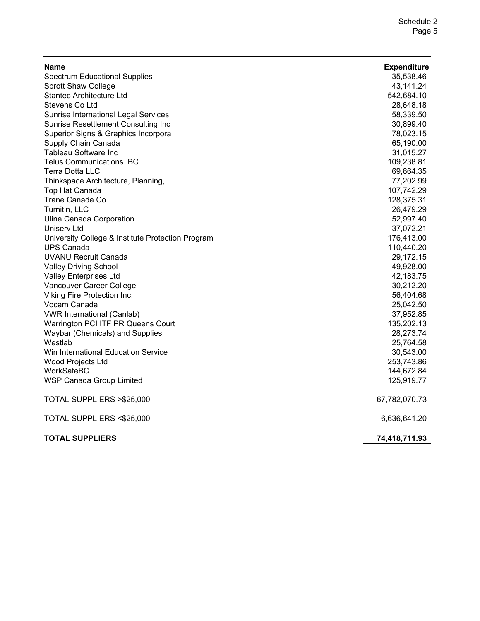| Name                                              | <b>Expenditure</b> |
|---------------------------------------------------|--------------------|
| <b>Spectrum Educational Supplies</b>              | 35,538.46          |
| <b>Sprott Shaw College</b>                        | 43,141.24          |
| <b>Stantec Architecture Ltd</b>                   | 542,684.10         |
| Stevens Co Ltd                                    | 28,648.18          |
| <b>Sunrise International Legal Services</b>       | 58,339.50          |
| Sunrise Resettlement Consulting Inc               | 30,899.40          |
| Superior Signs & Graphics Incorpora               | 78,023.15          |
| Supply Chain Canada                               | 65,190.00          |
| Tableau Software Inc                              | 31,015.27          |
| <b>Telus Communications BC</b>                    | 109,238.81         |
| <b>Terra Dotta LLC</b>                            | 69,664.35          |
| Thinkspace Architecture, Planning,                | 77,202.99          |
| Top Hat Canada                                    | 107,742.29         |
| Trane Canada Co.                                  | 128,375.31         |
| Turnitin, LLC                                     | 26,479.29          |
| Uline Canada Corporation                          | 52,997.40          |
| Uniserv Ltd                                       | 37,072.21          |
| University College & Institute Protection Program | 176,413.00         |
| <b>UPS Canada</b>                                 | 110,440.20         |
| <b>UVANU Recruit Canada</b>                       | 29,172.15          |
| <b>Valley Driving School</b>                      | 49,928.00          |
| <b>Valley Enterprises Ltd</b>                     | 42,183.75          |
| Vancouver Career College                          | 30,212.20          |
| Viking Fire Protection Inc.                       | 56,404.68          |
| Vocam Canada                                      | 25,042.50          |
| <b>VWR International (Canlab)</b>                 | 37,952.85          |
| Warrington PCI ITF PR Queens Court                | 135,202.13         |
| Waybar (Chemicals) and Supplies                   | 28,273.74          |
| Westlab                                           | 25,764.58          |
| Win International Education Service               | 30,543.00          |
| Wood Projects Ltd                                 | 253,743.86         |
| WorkSafeBC                                        | 144,672.84         |
| <b>WSP Canada Group Limited</b>                   | 125,919.77         |
| TOTAL SUPPLIERS > \$25,000                        | 67,782,070.73      |
| TOTAL SUPPLIERS <\$25,000                         | 6,636,641.20       |
| <b>TOTAL SUPPLIERS</b>                            | 74,418,711.93      |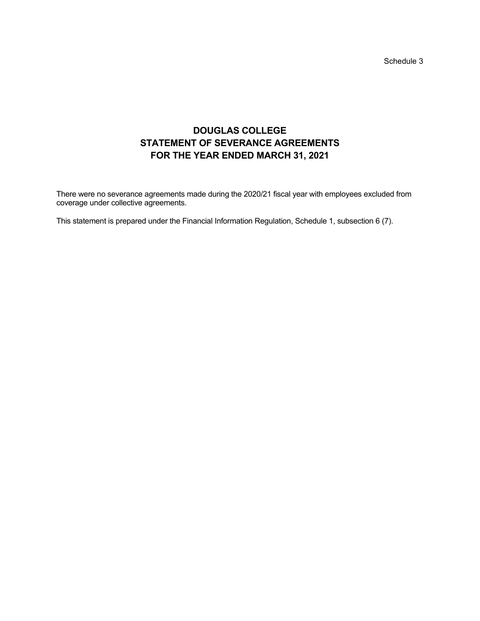Schedule 3

# **DOUGLAS COLLEGE STATEMENT OF SEVERANCE AGREEMENTS FOR THE YEAR ENDED MARCH 31, 2021**

There were no severance agreements made during the 2020/21 fiscal year with employees excluded from coverage under collective agreements.

This statement is prepared under the Financial Information Regulation, Schedule 1, subsection 6 (7).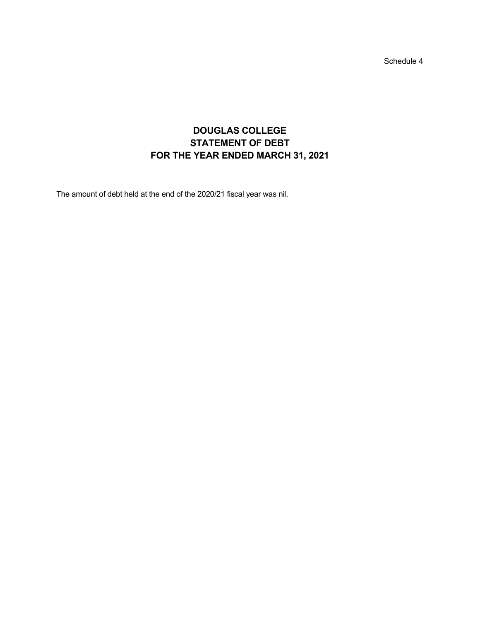Schedule 4

# **DOUGLAS COLLEGE STATEMENT OF DEBT FOR THE YEAR ENDED MARCH 31, 2021**

The amount of debt held at the end of the 2020/21 fiscal year was nil.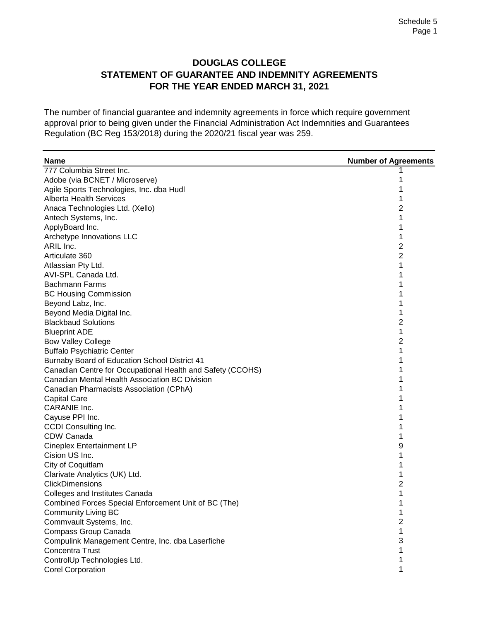#### **DOUGLAS COLLEGE STATEMENT OF GUARANTEE AND INDEMNITY AGREEMENTS FOR THE YEAR ENDED MARCH 31, 2021**

The number of financial guarantee and indemnity agreements in force which require government approval prior to being given under the Financial Administration Act Indemnities and Guarantees Regulation (BC Reg 153/2018) during the 2020/21 fiscal year was 259.

| <b>Name</b>                                                | <b>Number of Agreements</b> |
|------------------------------------------------------------|-----------------------------|
| 777 Columbia Street Inc.                                   |                             |
| Adobe (via BCNET / Microserve)                             |                             |
| Agile Sports Technologies, Inc. dba Hudl                   | 1                           |
| <b>Alberta Health Services</b>                             | 1                           |
| Anaca Technologies Ltd. (Xello)                            | 2                           |
| Antech Systems, Inc.                                       | 1                           |
| ApplyBoard Inc.                                            | 1                           |
| Archetype Innovations LLC                                  | 1                           |
| ARIL Inc.                                                  | 2                           |
| Articulate 360                                             | 2                           |
| Atlassian Pty Ltd.                                         | 1                           |
| AVI-SPL Canada Ltd.                                        | 1                           |
| Bachmann Farms                                             |                             |
| <b>BC Housing Commission</b>                               |                             |
| Beyond Labz, Inc.                                          |                             |
| Beyond Media Digital Inc.                                  | 1                           |
| <b>Blackbaud Solutions</b>                                 | 2                           |
| <b>Blueprint ADE</b>                                       | 1                           |
| <b>Bow Valley College</b>                                  | 2                           |
| <b>Buffalo Psychiatric Center</b>                          | 1                           |
| Burnaby Board of Education School District 41              |                             |
| Canadian Centre for Occupational Health and Safety (CCOHS) |                             |
| Canadian Mental Health Association BC Division             |                             |
| Canadian Pharmacists Association (CPhA)                    |                             |
| <b>Capital Care</b>                                        |                             |
| CARANIE Inc.                                               |                             |
| Cayuse PPI Inc.                                            |                             |
| <b>CCDI Consulting Inc.</b>                                |                             |
| CDW Canada                                                 | 1                           |
| Cineplex Entertainment LP                                  | 9                           |
| Cision US Inc.                                             | 1                           |
| City of Coquitlam                                          |                             |
| Clarivate Analytics (UK) Ltd.                              | 1                           |
| <b>ClickDimensions</b>                                     | $\overline{c}$              |
| <b>Colleges and Institutes Canada</b>                      |                             |
| Combined Forces Special Enforcement Unit of BC (The)       |                             |
| <b>Community Living BC</b>                                 | 1                           |
| Commvault Systems, Inc.                                    | 2                           |
| Compass Group Canada                                       | 1                           |
| Compulink Management Centre, Inc. dba Laserfiche           | 3                           |
| Concentra Trust                                            |                             |
| ControlUp Technologies Ltd.                                | 1                           |
| <b>Corel Corporation</b>                                   | 1                           |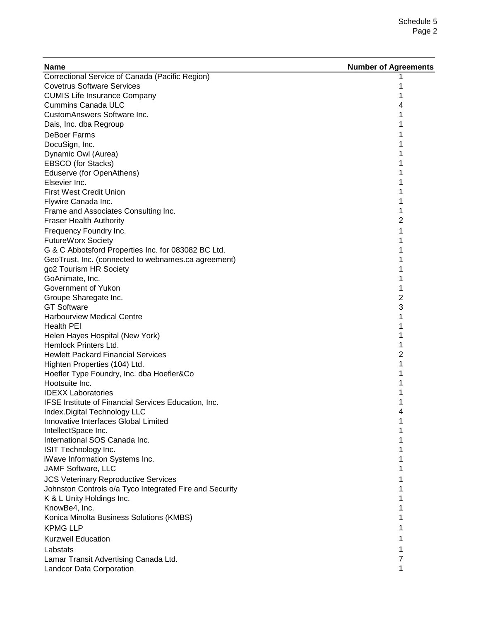| <b>Name</b>                                                 | <b>Number of Agreements</b> |
|-------------------------------------------------------------|-----------------------------|
| Correctional Service of Canada (Pacific Region)             |                             |
| <b>Covetrus Software Services</b>                           |                             |
| <b>CUMIS Life Insurance Company</b>                         | 1                           |
| <b>Cummins Canada ULC</b>                                   | 4                           |
| CustomAnswers Software Inc.                                 | 1                           |
| Dais, Inc. dba Regroup                                      |                             |
| <b>DeBoer Farms</b>                                         |                             |
| DocuSign, Inc.                                              |                             |
| Dynamic Owl (Aurea)                                         |                             |
| EBSCO (for Stacks)                                          |                             |
| Eduserve (for OpenAthens)                                   |                             |
| Elsevier Inc.                                               |                             |
| <b>First West Credit Union</b>                              |                             |
| Flywire Canada Inc.                                         |                             |
| Frame and Associates Consulting Inc.                        | 1                           |
| <b>Fraser Health Authority</b>                              | 2                           |
| Frequency Foundry Inc.                                      | 1                           |
| <b>FutureWorx Society</b>                                   |                             |
| G & C Abbotsford Properties Inc. for 083082 BC Ltd.         |                             |
| GeoTrust, Inc. (connected to webnames.ca agreement)         |                             |
| go2 Tourism HR Society                                      |                             |
| GoAnimate, Inc.                                             |                             |
| Government of Yukon                                         | 1                           |
|                                                             | 2                           |
| Groupe Sharegate Inc.<br><b>GT Software</b>                 | 3                           |
| <b>Harbourview Medical Centre</b>                           | 1                           |
| <b>Health PEI</b>                                           |                             |
| Helen Hayes Hospital (New York)                             |                             |
| Hemlock Printers Ltd.                                       |                             |
| <b>Hewlett Packard Financial Services</b>                   | 2                           |
| Highten Properties (104) Ltd.                               |                             |
|                                                             |                             |
| Hoefler Type Foundry, Inc. dba Hoefler&Co<br>Hootsuite Inc. |                             |
| <b>IDEXX Laboratories</b>                                   |                             |
| IFSE Institute of Financial Services Education, Inc.        |                             |
|                                                             |                             |
| Index.Digital Technology LLC                                | 4<br>1                      |
| Innovative Interfaces Global Limited                        |                             |
| IntellectSpace Inc.<br>International SOS Canada Inc.        |                             |
|                                                             |                             |
| ISIT Technology Inc.                                        |                             |
| iWave Information Systems Inc.<br><b>JAMF Software, LLC</b> |                             |
|                                                             |                             |
| <b>JCS Veterinary Reproductive Services</b>                 |                             |
| Johnston Controls o/a Tyco Integrated Fire and Security     |                             |
| K & L Unity Holdings Inc.                                   | 1                           |
| KnowBe4, Inc.                                               | 1                           |
| Konica Minolta Business Solutions (KMBS)                    | 1                           |
| <b>KPMG LLP</b>                                             |                             |
| <b>Kurzweil Education</b>                                   |                             |
| Labstats                                                    | 1                           |
| Lamar Transit Advertising Canada Ltd.                       | 7                           |
| Landcor Data Corporation                                    | 1                           |
|                                                             |                             |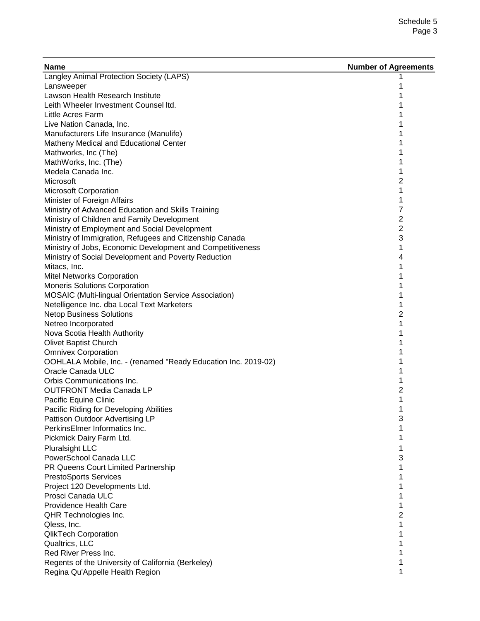| <b>Name</b>                                                                | <b>Number of Agreements</b> |
|----------------------------------------------------------------------------|-----------------------------|
| Langley Animal Protection Society (LAPS)                                   |                             |
| Lansweeper                                                                 |                             |
| Lawson Health Research Institute                                           |                             |
| Leith Wheeler Investment Counsel Itd.                                      |                             |
| Little Acres Farm                                                          | 1                           |
| Live Nation Canada, Inc.                                                   | 1                           |
| Manufacturers Life Insurance (Manulife)                                    | 1                           |
| Matheny Medical and Educational Center                                     | 1                           |
| Mathworks, Inc (The)                                                       | 1                           |
| MathWorks, Inc. (The)                                                      | 1                           |
| Medela Canada Inc.                                                         | 1                           |
| Microsoft                                                                  | 2                           |
| <b>Microsoft Corporation</b>                                               | 1                           |
| Minister of Foreign Affairs                                                | 1                           |
| Ministry of Advanced Education and Skills Training                         | 7                           |
| Ministry of Children and Family Development                                | 2                           |
| Ministry of Employment and Social Development                              | 2                           |
| Ministry of Immigration, Refugees and Citizenship Canada                   | 3                           |
| Ministry of Jobs, Economic Development and Competitiveness                 | 1                           |
| Ministry of Social Development and Poverty Reduction                       | 4                           |
| Mitacs, Inc.                                                               | 1                           |
| <b>Mitel Networks Corporation</b>                                          |                             |
| Moneris Solutions Corporation                                              |                             |
| MOSAIC (Multi-lingual Orientation Service Association)                     | 1                           |
| Netelligence Inc. dba Local Text Marketers                                 | 1                           |
| <b>Netop Business Solutions</b>                                            | 2                           |
| Netreo Incorporated                                                        | 1                           |
| Nova Scotia Health Authority                                               | 1                           |
| <b>Olivet Baptist Church</b>                                               | 1                           |
| <b>Omnivex Corporation</b>                                                 | 1                           |
| OOHLALA Mobile, Inc. - (renamed "Ready Education Inc. 2019-02)             | 1                           |
| Oracle Canada ULC                                                          | 1                           |
| Orbis Communications Inc.                                                  | 1                           |
| <b>OUTFRONT Media Canada LP</b>                                            | 2                           |
| Pacific Equine Clinic                                                      | 1                           |
|                                                                            | 1                           |
| Pacific Riding for Developing Abilities<br>Pattison Outdoor Advertising LP | 3                           |
| PerkinsElmer Informatics Inc.                                              | 1                           |
|                                                                            | 1                           |
| Pickmick Dairy Farm Ltd.                                                   |                             |
| <b>Pluralsight LLC</b>                                                     | 1                           |
| PowerSchool Canada LLC                                                     | 3                           |
| PR Queens Court Limited Partnership                                        | 1                           |
| <b>PrestoSports Services</b>                                               | 1                           |
| Project 120 Developments Ltd.                                              | 1                           |
| Prosci Canada ULC                                                          | 1                           |
| Providence Health Care                                                     | 1                           |
| QHR Technologies Inc.                                                      | 2                           |
| Qless, Inc.                                                                | 1                           |
| <b>QlikTech Corporation</b>                                                | 1                           |
| Qualtrics, LLC                                                             | 1                           |
| Red River Press Inc.                                                       | 1                           |
| Regents of the University of California (Berkeley)                         | 1                           |
| Regina Qu'Appelle Health Region                                            | 1                           |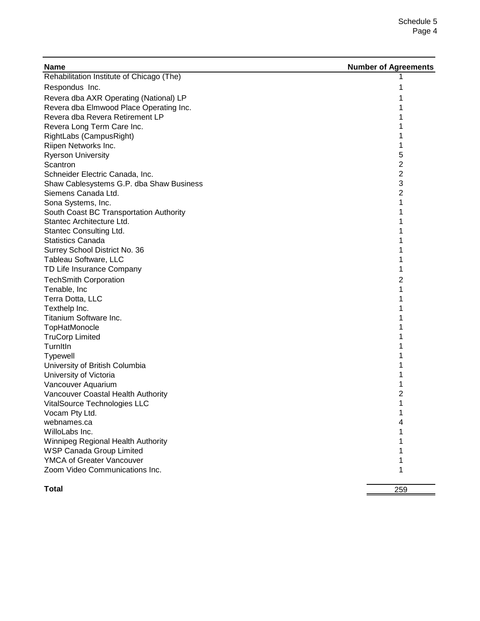| <b>Name</b>                               | <b>Number of Agreements</b> |
|-------------------------------------------|-----------------------------|
| Rehabilitation Institute of Chicago (The) |                             |
| Respondus Inc.                            |                             |
| Revera dba AXR Operating (National) LP    | 1                           |
| Revera dba Elmwood Place Operating Inc.   | 1                           |
| Revera dba Revera Retirement LP           | 1                           |
| Revera Long Term Care Inc.                | 1                           |
| RightLabs (CampusRight)                   | 1                           |
| Riipen Networks Inc.                      | 1                           |
| <b>Ryerson University</b>                 | 5                           |
| Scantron                                  | 2                           |
| Schneider Electric Canada, Inc.           | 2                           |
| Shaw Cablesystems G.P. dba Shaw Business  | 3                           |
| Siemens Canada Ltd.                       | 2                           |
| Sona Systems, Inc.                        | 1                           |
| South Coast BC Transportation Authority   | 1                           |
| Stantec Architecture Ltd.                 | 1                           |
| Stantec Consulting Ltd.                   | 1                           |
| <b>Statistics Canada</b>                  | 1                           |
| Surrey School District No. 36             | 1                           |
| Tableau Software, LLC                     | 1                           |
| TD Life Insurance Company                 | 1                           |
| <b>TechSmith Corporation</b>              | 2                           |
| Tenable, Inc                              | 1                           |
| Terra Dotta, LLC                          | 1                           |
| Texthelp Inc.                             | 1                           |
| Titanium Software Inc.                    |                             |
| TopHatMonocle                             |                             |
| <b>TruCorp Limited</b>                    |                             |
| TurnItIn                                  |                             |
| <b>Typewell</b>                           |                             |
| University of British Columbia            |                             |
| University of Victoria                    | 1                           |
| Vancouver Aquarium                        | 1                           |
| Vancouver Coastal Health Authority        | 2                           |
| VitalSource Technologies LLC              | 1                           |
| Vocam Pty Ltd.                            |                             |
| webnames.ca                               | 4                           |
| WilloLabs Inc.                            | 1                           |
| Winnipeg Regional Health Authority        | 1                           |
| <b>WSP Canada Group Limited</b>           | 1                           |
| <b>YMCA of Greater Vancouver</b>          | 1                           |
| Zoom Video Communications Inc.            | 1                           |
| <b>Total</b>                              | 259                         |